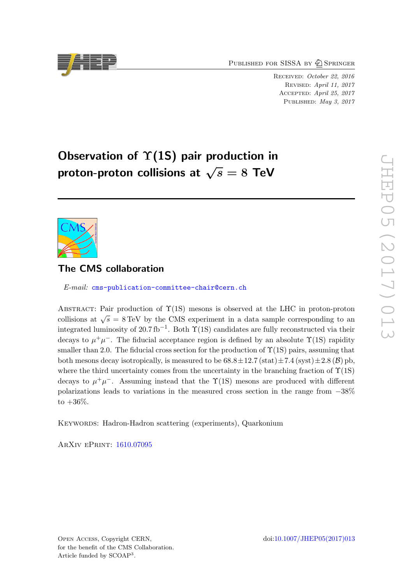PUBLISHED FOR SISSA BY 2 SPRINGER

Received: October 22, 2016 Revised: April 11, 2017 Accepted: April 25, 2017 PUBLISHED: May 3, 2017

# Observation of  $\Upsilon(1S)$  pair production in proton-proton collisions at  $\sqrt{s} = 8$  TeV



## The CMS collaboration

E-mail: [cms-publication-committee-chair@cern.ch](mailto:cms-publication-committee-chair@cern.ch)

ABSTRACT: Pair production of  $\Upsilon(1S)$  mesons is observed at the LHC in proton-proton collisions at  $\sqrt{s} = 8 \text{ TeV}$  by the CMS experiment in a data sample corresponding to an integrated luminosity of 20.7 fb<sup>-1</sup>. Both  $\Upsilon(1S)$  candidates are fully reconstructed via their decays to  $\mu^+\mu^-$ . The fiducial acceptance region is defined by an absolute  $\Upsilon(1S)$  rapidity smaller than 2.0. The fiducial cross section for the production of  $\Upsilon(1S)$  pairs, assuming that both mesons decay isotropically, is measured to be  $68.8 \pm 12.7$  (stat) $\pm 7.4$  (syst) $\pm 2.8$  ( $\beta$ ) pb, where the third uncertainty comes from the uncertainty in the branching fraction of  $\Upsilon(1S)$ decays to  $\mu^+\mu^-$ . Assuming instead that the  $\Upsilon(1S)$  mesons are produced with different polarizations leads to variations in the measured cross section in the range from −38% to  $+36\%$ .

KEYWORDS: Hadron-Hadron scattering (experiments), Quarkonium

ArXiv ePrint: [1610.07095](https://arxiv.org/abs/1610.07095)



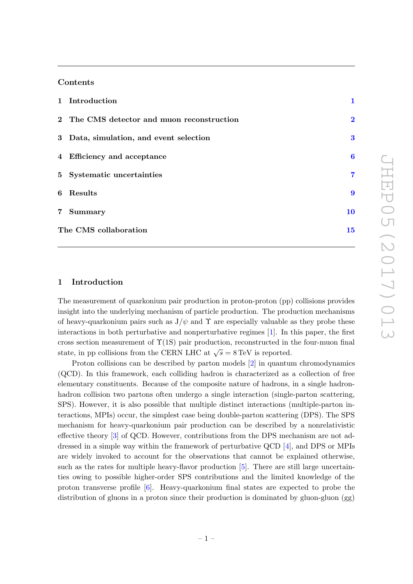### Contents

| 1 Introduction                             | 1                       |
|--------------------------------------------|-------------------------|
| 2 The CMS detector and muon reconstruction | $\bf{2}$                |
| 3 Data, simulation, and event selection    | $\bf{3}$                |
| 4 Efficiency and acceptance                | $\bf{6}$                |
| 5 Systematic uncertainties                 | $\overline{\mathbf{7}}$ |
| 6 Results                                  | 9                       |
| 7 Summary                                  | 10                      |
| The CMS collaboration                      | 15                      |

## <span id="page-1-0"></span>1 Introduction

The measurement of quarkonium pair production in proton-proton (pp) collisions provides insight into the underlying mechanism of particle production. The production mechanisms of heavy-quarkonium pairs such as  $J/\psi$  and  $\Upsilon$  are especially valuable as they probe these interactions in both perturbative and nonperturbative regimes [\[1\]](#page-12-0). In this paper, the first cross section measurement of  $\Upsilon(1S)$  pair production, reconstructed in the four-muon final state, in pp collisions from the CERN LHC at  $\sqrt{s} = 8 \text{ TeV}$  is reported.

Proton collisions can be described by parton models [\[2\]](#page-12-1) in quantum chromodynamics (QCD). In this framework, each colliding hadron is characterized as a collection of free elementary constituents. Because of the composite nature of hadrons, in a single hadronhadron collision two partons often undergo a single interaction (single-parton scattering, SPS). However, it is also possible that multiple distinct interactions (multiple-parton interactions, MPIs) occur, the simplest case being double-parton scattering (DPS). The SPS mechanism for heavy-quarkonium pair production can be described by a nonrelativistic effective theory [\[3\]](#page-12-2) of QCD. However, contributions from the DPS mechanism are not addressed in a simple way within the framework of perturbative QCD [\[4\]](#page-12-3), and DPS or MPIs are widely invoked to account for the observations that cannot be explained otherwise, such as the rates for multiple heavy-flavor production [\[5\]](#page-12-4). There are still large uncertainties owing to possible higher-order SPS contributions and the limited knowledge of the proton transverse profile [\[6\]](#page-12-5). Heavy-quarkonium final states are expected to probe the distribution of gluons in a proton since their production is dominated by gluon-gluon (gg)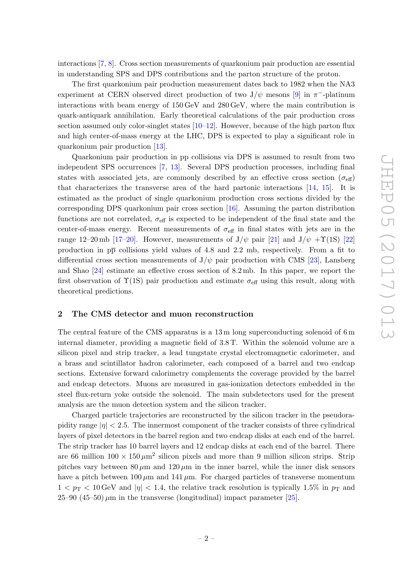interactions [\[7,](#page-12-6) [8\]](#page-12-7). Cross section measurements of quarkonium pair production are essential in understanding SPS and DPS contributions and the parton structure of the proton.

The first quarkonium pair production measurement dates back to 1982 when the NA3 experiment at CERN observed direct production of two  $J/\psi$  mesons [\[9\]](#page-12-8) in  $\pi^-$ -platinum interactions with beam energy of 150 GeV and 280 GeV, where the main contribution is quark-antiquark annihilation. Early theoretical calculations of the pair production cross section assumed only color-singlet states  $[10-12]$  $[10-12]$ . However, because of the high parton flux and high center-of-mass energy at the LHC, DPS is expected to play a significant role in quarkonium pair production [\[13\]](#page-13-0).

Quarkonium pair production in pp collisions via DPS is assumed to result from two independent SPS occurrences [\[7,](#page-12-6) [13\]](#page-13-0). Several DPS production processes, including final states with associated jets, are commonly described by an effective cross section ( $\sigma_{\text{eff}}$ ) that characterizes the transverse area of the hard partonic interactions [\[14,](#page-13-1) [15\]](#page-13-2). It is estimated as the product of single quarkonium production cross sections divided by the corresponding DPS quarkonium pair cross section [\[16\]](#page-13-3). Assuming the parton distribution functions are not correlated,  $\sigma_{\text{eff}}$  is expected to be independent of the final state and the center-of-mass energy. Recent measurements of  $\sigma_{\text{eff}}$  in final states with jets are in the range 12–20 mb [\[17](#page-13-4)[–20\]](#page-13-5). However, measurements of  $J/\psi$  pair [\[21\]](#page-13-6) and  $J/\psi + \Upsilon(1S)$  [\[22\]](#page-13-7) production in  $p\bar{p}$  collisions yield values of 4.8 and 2.2 mb, respectively. From a fit to differential cross section measurements of  $J/\psi$  pair production with CMS [\[23\]](#page-13-8), Lansberg and Shao [\[24\]](#page-13-9) estimate an effective cross section of 8.2 mb. In this paper, we report the first observation of  $\Upsilon(1S)$  pair production and estimate  $\sigma_{\text{eff}}$  using this result, along with theoretical predictions.

## <span id="page-2-0"></span>2 The CMS detector and muon reconstruction

The central feature of the CMS apparatus is a 13 m long superconducting solenoid of 6 m internal diameter, providing a magnetic field of 3.8 T. Within the solenoid volume are a silicon pixel and strip tracker, a lead tungstate crystal electromagnetic calorimeter, and a brass and scintillator hadron calorimeter, each composed of a barrel and two endcap sections. Extensive forward calorimetry complements the coverage provided by the barrel and endcap detectors. Muons are measured in gas-ionization detectors embedded in the steel flux-return yoke outside the solenoid. The main subdetectors used for the present analysis are the muon detection system and the silicon tracker.

Charged particle trajectories are reconstructed by the silicon tracker in the pseudorapidity range  $|\eta| < 2.5$ . The innermost component of the tracker consists of three cylindrical layers of pixel detectors in the barrel region and two endcap disks at each end of the barrel. The strip tracker has 10 barrel layers and 12 endcap disks at each end of the barrel. There are 66 million  $100 \times 150 \,\mu\text{m}^2$  silicon pixels and more than 9 million silicon strips. Strip pitches vary between  $80 \mu m$  and  $120 \mu m$  in the inner barrel, while the inner disk sensors have a pitch between  $100 \mu m$  and  $141 \mu m$ . For charged particles of transverse momentum  $1 < p_{\rm T} < 10$  GeV and  $|\eta| < 1.4$ , the relative track resolution is typically 1.5% in  $p_{\rm T}$  and 25–90 (45–50)  $\mu$ m in the transverse (longitudinal) impact parameter [\[25\]](#page-13-10).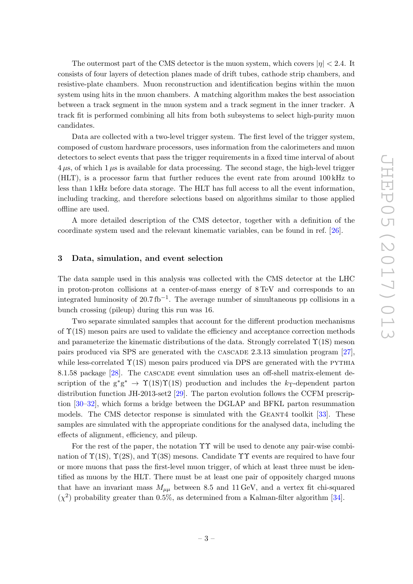The outermost part of the CMS detector is the muon system, which covers  $|\eta| < 2.4$ . It consists of four layers of detection planes made of drift tubes, cathode strip chambers, and resistive-plate chambers. Muon reconstruction and identification begins within the muon system using hits in the muon chambers. A matching algorithm makes the best association between a track segment in the muon system and a track segment in the inner tracker. A track fit is performed combining all hits from both subsystems to select high-purity muon candidates.

Data are collected with a two-level trigger system. The first level of the trigger system, composed of custom hardware processors, uses information from the calorimeters and muon detectors to select events that pass the trigger requirements in a fixed time interval of about  $4 \mu s$ , of which  $1 \mu s$  is available for data processing. The second stage, the high-level trigger (HLT), is a processor farm that further reduces the event rate from around 100 kHz to less than 1 kHz before data storage. The HLT has full access to all the event information, including tracking, and therefore selections based on algorithms similar to those applied offline are used.

A more detailed description of the CMS detector, together with a definition of the coordinate system used and the relevant kinematic variables, can be found in ref. [\[26\]](#page-13-11).

### <span id="page-3-0"></span>3 Data, simulation, and event selection

The data sample used in this analysis was collected with the CMS detector at the LHC in proton-proton collisions at a center-of-mass energy of 8 TeV and corresponds to an integrated luminosity of 20.7 fb<sup>-1</sup>. The average number of simultaneous pp collisions in a bunch crossing (pileup) during this run was 16.

Two separate simulated samples that account for the different production mechanisms of Υ(1S) meson pairs are used to validate the efficiency and acceptance correction methods and parameterize the kinematic distributions of the data. Strongly correlated  $\Upsilon(1S)$  meson pairs produced via SPS are generated with the cascade 2.3.13 simulation program [\[27\]](#page-13-12), while less-correlated  $\Upsilon(1S)$  meson pairs produced via DPS are generated with the PYTHIA 8.1.58 package [\[28\]](#page-13-13). The cascade event simulation uses an off-shell matrix-element description of the  $g^*g^* \to \Upsilon(1S)\Upsilon(1S)$  production and includes the  $k_T$ -dependent parton distribution function JH-2013-set2 [\[29\]](#page-13-14). The parton evolution follows the CCFM prescription [\[30–](#page-13-15)[32\]](#page-14-0), which forms a bridge between the DGLAP and BFKL parton resummation models. The CMS detector response is simulated with the GEANT4 toolkit [\[33\]](#page-14-1). These samples are simulated with the appropriate conditions for the analysed data, including the effects of alignment, efficiency, and pileup.

For the rest of the paper, the notation  $\Upsilon \Upsilon$  will be used to denote any pair-wise combination of  $\Upsilon(1S)$ ,  $\Upsilon(2S)$ , and  $\Upsilon(3S)$  mesons. Candidate  $\Upsilon\Upsilon$  events are required to have four or more muons that pass the first-level muon trigger, of which at least three must be identified as muons by the HLT. There must be at least one pair of oppositely charged muons that have an invariant mass  $M_{\mu\mu}$  between 8.5 and 11 GeV, and a vertex fit chi-squared  $(\chi^2)$  probability greater than 0.5%, as determined from a Kalman-filter algorithm [\[34\]](#page-14-2).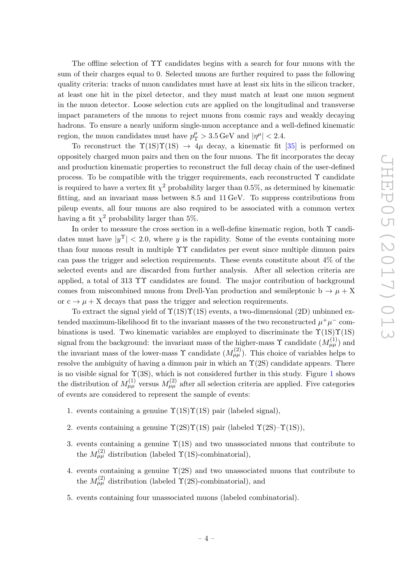The offline selection of  $\Upsilon \Upsilon$  candidates begins with a search for four muons with the sum of their charges equal to 0. Selected muons are further required to pass the following quality criteria: tracks of muon candidates must have at least six hits in the silicon tracker, at least one hit in the pixel detector, and they must match at least one muon segment in the muon detector. Loose selection cuts are applied on the longitudinal and transverse impact parameters of the muons to reject muons from cosmic rays and weakly decaying hadrons. To ensure a nearly uniform single-muon acceptance and a well-defined kinematic region, the muon candidates must have  $p_T^{\mu} > 3.5 \,\text{GeV}$  and  $|\eta^{\mu}| < 2.4$ .

To reconstruct the  $\Upsilon(1S)\Upsilon(1S) \rightarrow 4\mu$  decay, a kinematic fit [\[35\]](#page-14-3) is performed on oppositely charged muon pairs and then on the four muons. The fit incorporates the decay and production kinematic properties to reconstruct the full decay chain of the user-defined process. To be compatible with the trigger requirements, each reconstructed  $\Upsilon$  candidate is required to have a vertex fit  $\chi^2$  probability larger than 0.5%, as determined by kinematic fitting, and an invariant mass between 8.5 and 11 GeV. To suppress contributions from pileup events, all four muons are also required to be associated with a common vertex having a fit  $\chi^2$  probability larger than 5%.

In order to measure the cross section in a well-define kinematic region, both Υ candidates must have  $|y^{\Upsilon}| < 2.0$ , where y is the rapidity. Some of the events containing more than four muons result in multiple ΥΥ candidates per event since multiple dimuon pairs can pass the trigger and selection requirements. These events constitute about 4% of the selected events and are discarded from further analysis. After all selection criteria are applied, a total of 313 ΥΥ candidates are found. The major contribution of background comes from miscombined muons from Drell-Yan production and semileptonic b  $\rightarrow \mu + X$ or  $c \rightarrow \mu + X$  decays that pass the trigger and selection requirements.

To extract the signal yield of  $\Upsilon(1S)\Upsilon(1S)$  events, a two-dimensional (2D) unbinned extended maximum-likelihood fit to the invariant masses of the two reconstructed  $\mu^+\mu^-$  combinations is used. Two kinematic variables are employed to discriminate the  $\Upsilon(1S)\Upsilon(1S)$ signal from the background: the invariant mass of the higher-mass  $\Upsilon$  candidate  $(M_{\mu\mu}^{(1)})$  and the invariant mass of the lower-mass  $\Upsilon$  candidate  $(M_{\mu\mu}^{(2)})$ . This choice of variables helps to resolve the ambiguity of having a dimuon pair in which an  $\Upsilon(2S)$  candidate appears. There is no visible signal for  $\Upsilon(3S)$ , which is not considered further in this study. Figure [1](#page-5-0) shows the distribution of  $M_{\mu\mu}^{(1)}$  versus  $M_{\mu\mu}^{(2)}$  after all selection criteria are applied. Five categories of events are considered to represent the sample of events:

- 1. events containing a genuine  $\Upsilon(1S)\Upsilon(1S)$  pair (labeled signal),
- 2. events containing a genuine  $\Upsilon(2S)\Upsilon(1S)$  pair (labeled  $\Upsilon(2S)-\Upsilon(1S)$ ),
- 3. events containing a genuine  $\Upsilon(1S)$  and two unassociated muons that contribute to the  $M_{\mu\mu}^{(2)}$  distribution (labeled  $\Upsilon(1S)$ -combinatorial),
- 4. events containing a genuine  $\Upsilon(2S)$  and two unassociated muons that contribute to the  $M_{\mu\mu}^{(2)}$  distribution (labeled  $\Upsilon(2S)$ -combinatorial), and
- 5. events containing four unassociated muons (labeled combinatorial).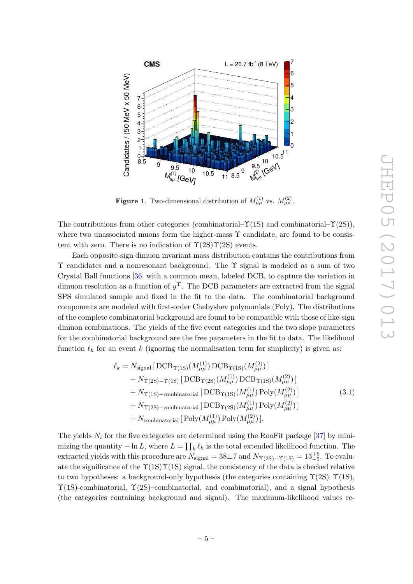

<span id="page-5-0"></span>**Figure 1.** Two-dimensional distribution of  $M_{\mu\mu}^{(1)}$  vs.  $M_{\mu\mu}^{(2)}$ .

The contributions from other categories (combinatorial– $\Upsilon(1S)$  and combinatorial– $\Upsilon(2S)$ ), where two unassociated muons form the higher-mass  $\Upsilon$  candidate, are found to be consistent with zero. There is no indication of  $\Upsilon(2S)\Upsilon(2S)$  events.

Each opposite-sign dimuon invariant mass distribution contains the contributions from Υ candidates and a nonresonant background. The Υ signal is modeled as a sum of two Crystal Ball functions [\[36\]](#page-14-4) with a common mean, labeled DCB, to capture the variation in dimuon resolution as a function of  $y^{\Upsilon}$ . The DCB parameters are extracted from the signal SPS simulated sample and fixed in the fit to the data. The combinatorial background components are modeled with first-order Chebyshev polynomials (Poly). The distributions of the complete combinatorial background are found to be compatible with those of like-sign dimuon combinations. The yields of the five event categories and the two slope parameters for the combinatorial background are the free parameters in the fit to data. The likelihood function  $\ell_k$  for an event k (ignoring the normalisation term for simplicity) is given as:

$$
\ell_{k} = N_{\text{signal}} \left[ \text{DCB}_{\Upsilon(1S)}(M_{\mu\mu}^{(1)}) \text{DCB}_{\Upsilon(1S)}(M_{\mu\mu}^{(2)}) \right] \n+ N_{\Upsilon(2S)-\Upsilon(1S)} \left[ \text{DCB}_{\Upsilon(2S)}(M_{\mu\mu}^{(1)}) \text{DCB}_{\Upsilon(1S)}(M_{\mu\mu}^{(2)}) \right] \n+ N_{\Upsilon(1S)-\text{combinatorial}} \left[ \text{DCB}_{\Upsilon(1S)}(M_{\mu\mu}^{(1)}) \text{Poly}(M_{\mu\mu}^{(2)}) \right] \n+ N_{\Upsilon(2S)-\text{combinatorial}} \left[ \text{DCB}_{\Upsilon(2S)}(M_{\mu\mu}^{(1)}) \text{Poly}(M_{\mu\mu}^{(2)}) \right] \n+ N_{\text{combinatorial}} \left[ \text{Poly}(M_{\mu\mu}^{(1)}) \text{Poly}(M_{\mu\mu}^{(2)}) \right].
$$
\n(3.1)

The yields  $N_i$  for the five categories are determined using the RooFit package [\[37\]](#page-14-5) by minimizing the quantity  $-\ln L$ , where  $L = \prod_k \ell_k$  is the total extended likelihood function. The extracted yields with this procedure are  $N_{\text{signal}} = 38 \pm 7$  and  $N_{\Upsilon(2S)-\Upsilon(1S)} = 13^{+6}_{-5}$ . To evaluate the significance of the  $\Upsilon(1S)\Upsilon(1S)$  signal, the consistency of the data is checked relative to two hypotheses: a background-only hypothesis (the categories containing  $\Upsilon(2S)$ – $\Upsilon(1S)$ ,  $\Upsilon(1S)$ -combinatorial,  $\Upsilon(2S)$ -combinatorial, and combinatorial), and a signal hypothesis (the categories containing background and signal). The maximum-likelihood values re-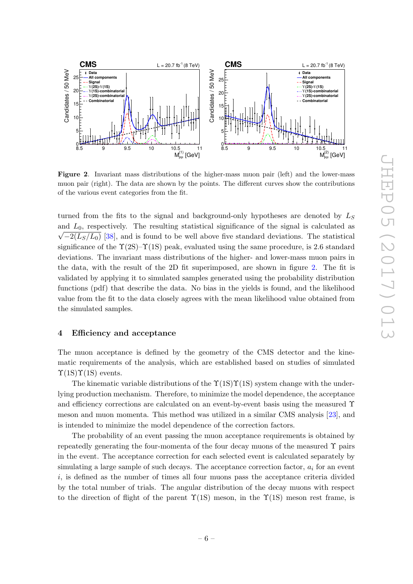

<span id="page-6-1"></span>Figure 2. Invariant mass distributions of the higher-mass muon pair (left) and the lower-mass muon pair (right). The data are shown by the points. The different curves show the contributions of the various event categories from the fit.

turned from the fits to the signal and background-only hypotheses are denoted by  $L<sub>S</sub>$ and  $L_0$ , respectively. The resulting statistical significance of the signal is calculated as  $\sqrt{-2(L_S/L_0)}$  [\[38\]](#page-14-6), and is found to be well above five standard deviations. The statistical significance of the  $\Upsilon(2S)-\Upsilon(1S)$  peak, evaluated using the same procedure, is 2.6 standard deviations. The invariant mass distributions of the higher- and lower-mass muon pairs in the data, with the result of the 2D fit superimposed, are shown in figure [2.](#page-6-1) The fit is validated by applying it to simulated samples generated using the probability distribution functions (pdf) that describe the data. No bias in the yields is found, and the likelihood value from the fit to the data closely agrees with the mean likelihood value obtained from the simulated samples.

### <span id="page-6-0"></span>4 Efficiency and acceptance

The muon acceptance is defined by the geometry of the CMS detector and the kinematic requirements of the analysis, which are established based on studies of simulated  $\Upsilon(1S)\Upsilon(1S)$  events.

The kinematic variable distributions of the  $\Upsilon(1S)\Upsilon(1S)$  system change with the underlying production mechanism. Therefore, to minimize the model dependence, the acceptance and efficiency corrections are calculated on an event-by-event basis using the measured  $\Upsilon$ meson and muon momenta. This method was utilized in a similar CMS analysis [\[23\]](#page-13-8), and is intended to minimize the model dependence of the correction factors.

The probability of an event passing the muon acceptance requirements is obtained by repeatedly generating the four-momenta of the four decay muons of the measured  $\Upsilon$  pairs in the event. The acceptance correction for each selected event is calculated separately by simulating a large sample of such decays. The acceptance correction factor,  $a_i$  for an event  $i$ , is defined as the number of times all four muons pass the acceptance criteria divided by the total number of trials. The angular distribution of the decay muons with respect to the direction of flight of the parent  $\Upsilon(1S)$  meson, in the  $\Upsilon(1S)$  meson rest frame, is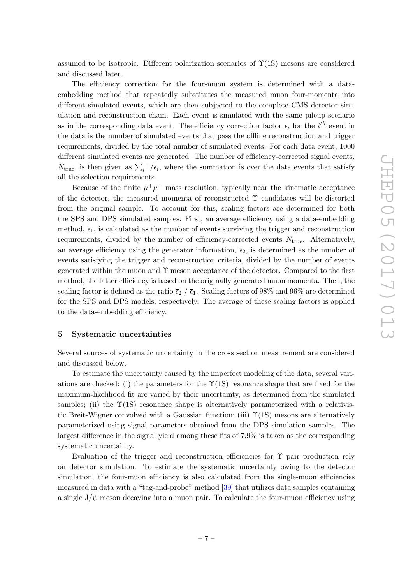assumed to be isotropic. Different polarization scenarios of  $\Upsilon(1S)$  mesons are considered and discussed later.

The efficiency correction for the four-muon system is determined with a dataembedding method that repeatedly substitutes the measured muon four-momenta into different simulated events, which are then subjected to the complete CMS detector simulation and reconstruction chain. Each event is simulated with the same pileup scenario as in the corresponding data event. The efficiency correction factor  $\epsilon_i$  for the  $i^{th}$  event in the data is the number of simulated events that pass the offline reconstruction and trigger requirements, divided by the total number of simulated events. For each data event, 1000 different simulated events are generated. The number of efficiency-corrected signal events,  $N_{\text{true}}$ , is then given as  $\sum_{i} 1/\epsilon_i$ , where the summation is over the data events that satisfy all the selection requirements.

Because of the finite  $\mu^+\mu^-$  mass resolution, typically near the kinematic acceptance of the detector, the measured momenta of reconstructed  $\Upsilon$  candidates will be distorted from the original sample. To account for this, scaling factors are determined for both the SPS and DPS simulated samples. First, an average efficiency using a data-embedding method,  $\bar{\epsilon}_1$ , is calculated as the number of events surviving the trigger and reconstruction requirements, divided by the number of efficiency-corrected events  $N_{true}$ . Alternatively, an average efficiency using the generator information,  $\bar{\epsilon}_2$ , is determined as the number of events satisfying the trigger and reconstruction criteria, divided by the number of events generated within the muon and Υ meson acceptance of the detector. Compared to the first method, the latter efficiency is based on the originally generated muon momenta. Then, the scaling factor is defined as the ratio  $\bar{\epsilon}_2/\bar{\epsilon}_1$ . Scaling factors of 98% and 96% are determined for the SPS and DPS models, respectively. The average of these scaling factors is applied to the data-embedding efficiency.

#### <span id="page-7-0"></span>5 Systematic uncertainties

Several sources of systematic uncertainty in the cross section measurement are considered and discussed below.

To estimate the uncertainty caused by the imperfect modeling of the data, several variations are checked: (i) the parameters for the  $\Upsilon(1S)$  resonance shape that are fixed for the maximum-likelihood fit are varied by their uncertainty, as determined from the simulated samples; (ii) the  $\Upsilon(1S)$  resonance shape is alternatively parameterized with a relativistic Breit-Wigner convolved with a Gaussian function; (iii)  $\Upsilon(1S)$  mesons are alternatively parameterized using signal parameters obtained from the DPS simulation samples. The largest difference in the signal yield among these fits of 7.9% is taken as the corresponding systematic uncertainty.

Evaluation of the trigger and reconstruction efficiencies for  $\Upsilon$  pair production rely on detector simulation. To estimate the systematic uncertainty owing to the detector simulation, the four-muon efficiency is also calculated from the single-muon efficiencies measured in data with a "tag-and-probe" method [\[39\]](#page-14-7) that utilizes data samples containing a single  $J/\psi$  meson decaying into a muon pair. To calculate the four-muon efficiency using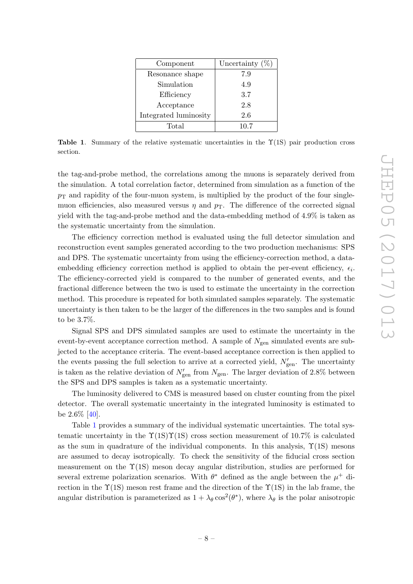| Component             | Uncertainty $(\%)$ |  |  |  |
|-----------------------|--------------------|--|--|--|
| Resonance shape       | 7.9                |  |  |  |
| Simulation            | 4.9                |  |  |  |
| Efficiency            | 3.7                |  |  |  |
| Acceptance            | 2.8                |  |  |  |
| Integrated luminosity | 2.6                |  |  |  |
| Total                 | 10.7               |  |  |  |

<span id="page-8-0"></span>Table 1. Summary of the relative systematic uncertainties in the  $\Upsilon(1S)$  pair production cross section.

the tag-and-probe method, the correlations among the muons is separately derived from the simulation. A total correlation factor, determined from simulation as a function of the  $p<sub>T</sub>$  and rapidity of the four-muon system, is multiplied by the product of the four singlemuon efficiencies, also measured versus  $\eta$  and  $p_T$ . The difference of the corrected signal yield with the tag-and-probe method and the data-embedding method of 4.9% is taken as the systematic uncertainty from the simulation.

The efficiency correction method is evaluated using the full detector simulation and reconstruction event samples generated according to the two production mechanisms: SPS and DPS. The systematic uncertainty from using the efficiency-correction method, a dataembedding efficiency correction method is applied to obtain the per-event efficiency,  $\epsilon_i$ . The efficiency-corrected yield is compared to the number of generated events, and the fractional difference between the two is used to estimate the uncertainty in the correction method. This procedure is repeated for both simulated samples separately. The systematic uncertainty is then taken to be the larger of the differences in the two samples and is found to be 3.7%.

Signal SPS and DPS simulated samples are used to estimate the uncertainty in the event-by-event acceptance correction method. A sample of  $N_{\text{gen}}$  simulated events are subjected to the acceptance criteria. The event-based acceptance correction is then applied to the events passing the full selection to arrive at a corrected yield,  $N'_{\text{gen}}$ . The uncertainty is taken as the relative deviation of  $N'_{\text{gen}}$  from  $N_{\text{gen}}$ . The larger deviation of 2.8% between the SPS and DPS samples is taken as a systematic uncertainty.

The luminosity delivered to CMS is measured based on cluster counting from the pixel detector. The overall systematic uncertainty in the integrated luminosity is estimated to be 2.6% [\[40\]](#page-14-8).

Table [1](#page-8-0) provides a summary of the individual systematic uncertainties. The total systematic uncertainty in the  $\Upsilon(1S)\Upsilon(1S)$  cross section measurement of 10.7% is calculated as the sum in quadrature of the individual components. In this analysis,  $\Upsilon(1S)$  mesons are assumed to decay isotropically. To check the sensitivity of the fiducial cross section measurement on the  $\Upsilon(1S)$  meson decay angular distribution, studies are performed for several extreme polarization scenarios. With  $\theta^*$  defined as the angle between the  $\mu^+$  direction in the  $\Upsilon(1S)$  meson rest frame and the direction of the  $\Upsilon(1S)$  in the lab frame, the angular distribution is parameterized as  $1 + \lambda_{\theta} \cos^2(\theta^*)$ , where  $\lambda_{\theta}$  is the polar anisotropic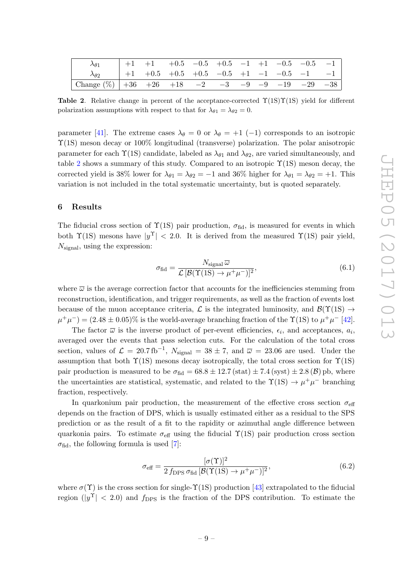| $\lambda_{\theta1}$                                            | $+1 \quad +1 \quad +0.5 \quad -0.5 \quad +0.5 \quad -1 \quad +1 \quad -0.5 \quad -0.5 \quad -1$ |  |  |  |  |
|----------------------------------------------------------------|-------------------------------------------------------------------------------------------------|--|--|--|--|
| $\lambda_{\theta 2}$   +1 +0.5 +0.5 +0.5 -0.5 +1 -1 -0.5 -1 -1 |                                                                                                 |  |  |  |  |
| Change $(\%)$   +36 +26 +18 -2 -3 -9 -9 -19 -29 -38            |                                                                                                 |  |  |  |  |

<span id="page-9-1"></span>**Table 2.** Relative change in percent of the acceptance-corrected  $\Upsilon(1S)\Upsilon(1S)$  yield for different polarization assumptions with respect to that for  $\lambda_{\theta 1} = \lambda_{\theta 2} = 0$ .

parameter [\[41\]](#page-14-9). The extreme cases  $\lambda_{\theta} = 0$  or  $\lambda_{\theta} = +1$  (-1) corresponds to an isotropic  $\Upsilon(1S)$  meson decay or 100% longitudinal (transverse) polarization. The polar anisotropic parameter for each  $\Upsilon(1S)$  candidate, labeled as  $\lambda_{\theta_1}$  and  $\lambda_{\theta_2}$ , are varied simultaneously, and table [2](#page-9-1) shows a summary of this study. Compared to an isotropic  $\Upsilon(1S)$  meson decay, the corrected yield is 38% lower for  $\lambda_{\theta1} = \lambda_{\theta2} = -1$  and 36% higher for  $\lambda_{\theta1} = \lambda_{\theta2} = +1$ . This variation is not included in the total systematic uncertainty, but is quoted separately.

### <span id="page-9-0"></span>6 Results

The fiducial cross section of  $\Upsilon(1S)$  pair production,  $\sigma_{\text{fid}}$ , is measured for events in which both  $\Upsilon(1S)$  mesons have  $|y^{\Upsilon}| < 2.0$ . It is derived from the measured  $\Upsilon(1S)$  pair yield,  $N_{\text{signal}}$ , using the expression:

$$
\sigma_{\text{fid}} = \frac{N_{\text{signal}} \overline{\omega}}{\mathcal{L} \left[ \mathcal{B}(\Upsilon(1S) \to \mu^+ \mu^-) \right]^2},\tag{6.1}
$$

where  $\bar{\omega}$  is the average correction factor that accounts for the inefficiencies stemming from reconstruction, identification, and trigger requirements, as well as the fraction of events lost because of the muon acceptance criteria,  $\mathcal L$  is the integrated luminosity, and  $\mathcal B(\Upsilon(1S) \to$  $\mu^+\mu^-$  = (2.48 ± 0.05)% is the world-average branching fraction of the  $\Upsilon(1S)$  to  $\mu^+\mu^-$  [\[42\]](#page-14-10).

The factor  $\overline{\omega}$  is the inverse product of per-event efficiencies,  $\epsilon_i$ , and acceptances,  $a_i$ , averaged over the events that pass selection cuts. For the calculation of the total cross section, values of  $\mathcal{L} = 20.7 \,\mathrm{fb}^{-1}$ ,  $N_{\text{signal}} = 38 \pm 7$ , and  $\overline{\omega} = 23.06$  are used. Under the assumption that both  $\Upsilon(1S)$  mesons decay isotropically, the total cross section for  $\Upsilon(1S)$ pair production is measured to be  $\sigma_{\text{fid}} = 68.8 \pm 12.7 \, (\text{stat}) \pm 7.4 \, (\text{syst}) \pm 2.8 \, (\beta)$  pb, where the uncertainties are statistical, systematic, and related to the  $\Upsilon(1S) \to \mu^+ \mu^-$  branching fraction, respectively.

In quarkonium pair production, the measurement of the effective cross section  $\sigma_{\text{eff}}$ depends on the fraction of DPS, which is usually estimated either as a residual to the SPS prediction or as the result of a fit to the rapidity or azimuthal angle difference between quarkonia pairs. To estimate  $\sigma_{\text{eff}}$  using the fiducial  $\Upsilon(1S)$  pair production cross section  $\sigma_{\text{fid}}$ , the following formula is used [\[7\]](#page-12-6):

$$
\sigma_{\text{eff}} = \frac{[\sigma(\Upsilon)]^2}{2 f_{\text{DPS}} \sigma_{\text{fid}} \left[ \mathcal{B}(\Upsilon(1S) \to \mu^+ \mu^-) \right]^2},\tag{6.2}
$$

where  $\sigma(\Upsilon)$  is the cross section for single- $\Upsilon(1S)$  production [\[43\]](#page-14-11) extrapolated to the fiducial region ( $|y^{\Upsilon}|$  < 2.0) and  $f_{\text{DPS}}$  is the fraction of the DPS contribution. To estimate the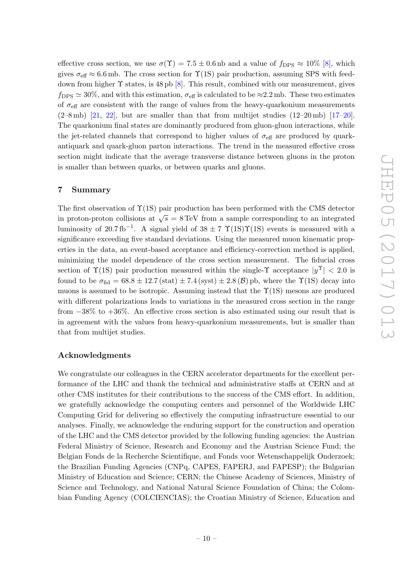effective cross section, we use  $\sigma(\Upsilon) = 7.5 \pm 0.6$  nb and a value of  $f_{\text{DPS}} \approx 10\%$  [\[8\]](#page-12-7), which gives  $\sigma_{\text{eff}} \approx 6.6 \,\text{mb}$ . The cross section for  $\Upsilon(1S)$  pair production, assuming SPS with feeddown from higher  $\Upsilon$  states, is 48 pb [\[8\]](#page-12-7). This result, combined with our measurement, gives  $f_{\text{DPS}} \simeq 30\%$ , and with this estimation,  $\sigma_{\text{eff}}$  is calculated to be  $\approx 2.2 \text{ mb}$ . These two estimates of  $\sigma_{\text{eff}}$  are consistent with the range of values from the heavy-quarkonium measurements  $(2-8 \text{ mb})$  [\[21,](#page-13-6) [22\]](#page-13-7), but are smaller than that from multijet studies  $(12-20 \text{ mb})$  [\[17–](#page-13-4)[20\]](#page-13-5). The quarkonium final states are dominantly produced from gluon-gluon interactions, while the jet-related channels that correspond to higher values of  $\sigma_{\text{eff}}$  are produced by quarkantiquark and quark-gluon parton interactions. The trend in the measured effective cross section might indicate that the average transverse distance between gluons in the proton is smaller than between quarks, or between quarks and gluons.

### <span id="page-10-0"></span>7 Summary

The first observation of  $\Upsilon(1S)$  pair production has been performed with the CMS detector in proton-proton collisions at  $\sqrt{s} = 8$  TeV from a sample corresponding to an integrated luminosity of 20.7 fb<sup>-1</sup>. A signal yield of  $38 \pm 7 \text{ \textdegree T}(1S) \Upsilon(1S)$  events is measured with a significance exceeding five standard deviations. Using the measured muon kinematic properties in the data, an event-based acceptance and efficiency-correction method is applied, minimizing the model dependence of the cross section measurement. The fiducial cross section of  $\Upsilon(1S)$  pair production measured within the single- $\Upsilon$  acceptance  $|y^{\Upsilon}| < 2.0$  is found to be  $\sigma_{\text{fid}} = 68.8 \pm 12.7 \text{(stat)} \pm 7.4 \text{(syst)} \pm 2.8 \text{ (B) pb}$ , where the  $\Upsilon(1S)$  decay into muons is assumed to be isotropic. Assuming instead that the  $\Upsilon(1S)$  mesons are produced with different polarizations leads to variations in the measured cross section in the range from −38% to +36%. An effective cross section is also estimated using our result that is in agreement with the values from heavy-quarkonium measurements, but is smaller than that from multijet studies.

### Acknowledgments

We congratulate our colleagues in the CERN accelerator departments for the excellent performance of the LHC and thank the technical and administrative staffs at CERN and at other CMS institutes for their contributions to the success of the CMS effort. In addition, we gratefully acknowledge the computing centers and personnel of the Worldwide LHC Computing Grid for delivering so effectively the computing infrastructure essential to our analyses. Finally, we acknowledge the enduring support for the construction and operation of the LHC and the CMS detector provided by the following funding agencies: the Austrian Federal Ministry of Science, Research and Economy and the Austrian Science Fund; the Belgian Fonds de la Recherche Scientifique, and Fonds voor Wetenschappelijk Onderzoek; the Brazilian Funding Agencies (CNPq, CAPES, FAPERJ, and FAPESP); the Bulgarian Ministry of Education and Science; CERN; the Chinese Academy of Sciences, Ministry of Science and Technology, and National Natural Science Foundation of China; the Colombian Funding Agency (COLCIENCIAS); the Croatian Ministry of Science, Education and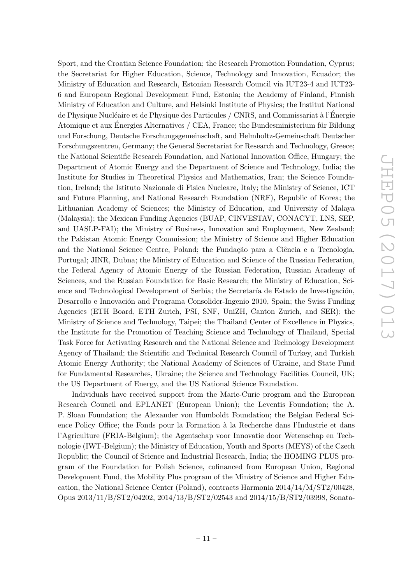Sport, and the Croatian Science Foundation; the Research Promotion Foundation, Cyprus; the Secretariat for Higher Education, Science, Technology and Innovation, Ecuador; the Ministry of Education and Research, Estonian Research Council via IUT23-4 and IUT23- 6 and European Regional Development Fund, Estonia; the Academy of Finland, Finnish Ministry of Education and Culture, and Helsinki Institute of Physics; the Institut National de Physique Nucléaire et de Physique des Particules / CNRS, and Commissariat à l'Energie Atomique et aux Énergies Alternatives / CEA, France; the Bundesministerium für Bildung und Forschung, Deutsche Forschungsgemeinschaft, and Helmholtz-Gemeinschaft Deutscher Forschungszentren, Germany; the General Secretariat for Research and Technology, Greece; the National Scientific Research Foundation, and National Innovation Office, Hungary; the Department of Atomic Energy and the Department of Science and Technology, India; the Institute for Studies in Theoretical Physics and Mathematics, Iran; the Science Foundation, Ireland; the Istituto Nazionale di Fisica Nucleare, Italy; the Ministry of Science, ICT and Future Planning, and National Research Foundation (NRF), Republic of Korea; the Lithuanian Academy of Sciences; the Ministry of Education, and University of Malaya (Malaysia); the Mexican Funding Agencies (BUAP, CINVESTAV, CONACYT, LNS, SEP, and UASLP-FAI); the Ministry of Business, Innovation and Employment, New Zealand; the Pakistan Atomic Energy Commission; the Ministry of Science and Higher Education and the National Science Centre, Poland; the Fundação para a Ciência e a Tecnologia, Portugal; JINR, Dubna; the Ministry of Education and Science of the Russian Federation, the Federal Agency of Atomic Energy of the Russian Federation, Russian Academy of Sciences, and the Russian Foundation for Basic Research; the Ministry of Education, Science and Technological Development of Serbia; the Secretaría de Estado de Investigación, Desarrollo e Innovación and Programa Consolider-Ingenio 2010, Spain; the Swiss Funding Agencies (ETH Board, ETH Zurich, PSI, SNF, UniZH, Canton Zurich, and SER); the Ministry of Science and Technology, Taipei; the Thailand Center of Excellence in Physics, the Institute for the Promotion of Teaching Science and Technology of Thailand, Special Task Force for Activating Research and the National Science and Technology Development Agency of Thailand; the Scientific and Technical Research Council of Turkey, and Turkish Atomic Energy Authority; the National Academy of Sciences of Ukraine, and State Fund for Fundamental Researches, Ukraine; the Science and Technology Facilities Council, UK; the US Department of Energy, and the US National Science Foundation.

Individuals have received support from the Marie-Curie program and the European Research Council and EPLANET (European Union); the Leventis Foundation; the A. P. Sloan Foundation; the Alexander von Humboldt Foundation; the Belgian Federal Science Policy Office; the Fonds pour la Formation à la Recherche dans l'Industrie et dans l'Agriculture (FRIA-Belgium); the Agentschap voor Innovatie door Wetenschap en Technologie (IWT-Belgium); the Ministry of Education, Youth and Sports (MEYS) of the Czech Republic; the Council of Science and Industrial Research, India; the HOMING PLUS program of the Foundation for Polish Science, cofinanced from European Union, Regional Development Fund, the Mobility Plus program of the Ministry of Science and Higher Education, the National Science Center (Poland), contracts Harmonia 2014/14/M/ST2/00428, Opus 2013/11/B/ST2/04202, 2014/13/B/ST2/02543 and 2014/15/B/ST2/03998, Sonata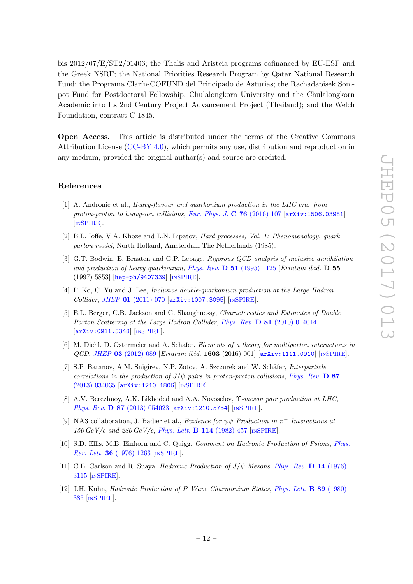bis 2012/07/E/ST2/01406; the Thalis and Aristeia programs cofinanced by EU-ESF and the Greek NSRF; the National Priorities Research Program by Qatar National Research Fund; the Programa Clarín-COFUND del Principado de Asturias; the Rachadapisek Sompot Fund for Postdoctoral Fellowship, Chulalongkorn University and the Chulalongkorn Academic into Its 2nd Century Project Advancement Project (Thailand); and the Welch Foundation, contract C-1845.

Open Access. This article is distributed under the terms of the Creative Commons Attribution License [\(CC-BY 4.0\)](http://creativecommons.org/licenses/by/4.0/), which permits any use, distribution and reproduction in any medium, provided the original author(s) and source are credited.

### References

- <span id="page-12-0"></span>[1] A. Andronic et al., Heavy-flavour and quarkonium production in the LHC era: from proton-proton to heavy-ion collisions, [Eur. Phys. J.](http://dx.doi.org/10.1140/epjc/s10052-015-3819-5)  $C$  76 (2016) 107  $\ar{xiv:1506.03981}$ [IN[SPIRE](http://inspirehep.net/search?p=find+EPRINT+arXiv:1506.03981)].
- <span id="page-12-1"></span>[2] B.L. Ioffe, V.A. Khoze and L.N. Lipatov, Hard processes, Vol. 1: Phenomenology, quark parton model, North-Holland, Amsterdam The Netherlands (1985).
- <span id="page-12-2"></span>[3] G.T. Bodwin, E. Braaten and G.P. Lepage, Rigorous QCD analysis of inclusive annihilation and production of heavy quarkonium, Phys. Rev.  $\bf{D} 51$  [\(1995\) 1125](http://dx.doi.org/10.1103/PhysRevD.55.5853) [Erratum ibid.  $\bf{D} 55$ (1997) 5853] [[hep-ph/9407339](https://arxiv.org/abs/hep-ph/9407339)] [IN[SPIRE](http://inspirehep.net/search?p=find+EPRINT+hep-ph/9407339)].
- <span id="page-12-3"></span>[4] P. Ko, C. Yu and J. Lee, Inclusive double-quarkonium production at the Large Hadron Collider, JHEP 01 [\(2011\) 070](http://dx.doi.org/10.1007/JHEP01(2011)070) [[arXiv:1007.3095](https://arxiv.org/abs/1007.3095)] [IN[SPIRE](http://inspirehep.net/search?p=find+EPRINT+arXiv:1007.3095)].
- <span id="page-12-4"></span>[5] E.L. Berger, C.B. Jackson and G. Shaughnessy, Characteristics and Estimates of Double Parton Scattering at the Large Hadron Collider, Phys. Rev. D 81 [\(2010\) 014014](http://dx.doi.org/10.1103/PhysRevD.81.014014) [[arXiv:0911.5348](https://arxiv.org/abs/0911.5348)] [IN[SPIRE](http://inspirehep.net/search?p=find+EPRINT+arXiv:0911.5348)].
- <span id="page-12-5"></span>[6] M. Diehl, D. Ostermeier and A. Schafer, Elements of a theory for multiparton interactions in  $QCD$ , JHEP 03 [\(2012\) 089](http://dx.doi.org/10.1007/JHEP03(2012)089) [Erratum ibid. 1603 (2016) 001] [[arXiv:1111.0910](https://arxiv.org/abs/1111.0910)] [IN[SPIRE](http://inspirehep.net/search?p=find+EPRINT+arXiv:1111.0910)].
- <span id="page-12-6"></span>[7] S.P. Baranov, A.M. Snigirev, N.P. Zotov, A. Szczurek and W. Schäfer, *Interparticle* correlations in the production of  $J/\psi$  pairs in proton-proton collisions, [Phys. Rev.](http://dx.doi.org/10.1103/PhysRevD.87.034035) D 87 [\(2013\) 034035](http://dx.doi.org/10.1103/PhysRevD.87.034035) [[arXiv:1210.1806](https://arxiv.org/abs/1210.1806)] [IN[SPIRE](http://inspirehep.net/search?p=find+EPRINT+arXiv:1210.1806)].
- <span id="page-12-7"></span>[8] A.V. Berezhnoy, A.K. Likhoded and A.A. Novoselov, Υ-meson pair production at LHC, Phys. Rev. D 87 [\(2013\) 054023](http://dx.doi.org/10.1103/PhysRevD.87.054023) [[arXiv:1210.5754](https://arxiv.org/abs/1210.5754)] [IN[SPIRE](http://inspirehep.net/search?p=find+EPRINT+arXiv:1210.5754)].
- <span id="page-12-8"></span>[9] NA3 collaboration, J. Badier et al., Evidence for  $\psi\psi$  Production in  $\pi^-$  Interactions at  $150 \text{ GeV}/c$  and  $280 \text{ GeV}/c$ , *[Phys. Lett.](http://dx.doi.org/10.1016/0370-2693(82)90091-0)* **B 114** (1982) 457 [IN[SPIRE](http://inspirehep.net/search?p=find+J+%22Phys.Lett.,B114,457%22)].
- <span id="page-12-9"></span>[10] S.D. Ellis, M.B. Einhorn and C. Quigg, Comment on Hadronic Production of Psions, [Phys.](http://dx.doi.org/10.1103/PhysRevLett.36.1263) Rev. Lett. 36 [\(1976\) 1263](http://dx.doi.org/10.1103/PhysRevLett.36.1263) [IN[SPIRE](http://inspirehep.net/search?p=find+J+%22Phys.Rev.Lett.,36,1263%22)].
- [11] C.E. Carlson and R. Suaya, *Hadronic Production of*  $J/\psi$  *Mesons, [Phys. Rev.](http://dx.doi.org/10.1103/PhysRevD.14.3115)* **D** 14 (1976) [3115](http://dx.doi.org/10.1103/PhysRevD.14.3115) [IN[SPIRE](http://inspirehep.net/search?p=find+J+%22Phys.Rev.,D14,3115%22)].
- <span id="page-12-10"></span>[12] J.H. Kuhn, Hadronic Production of P Wave Charmonium States, [Phys. Lett.](http://dx.doi.org/10.1016/0370-2693(80)90149-5) B 89 (1980) [385](http://dx.doi.org/10.1016/0370-2693(80)90149-5) [IN[SPIRE](http://inspirehep.net/search?p=find+J+%22Phys.Lett.,B89,385%22)].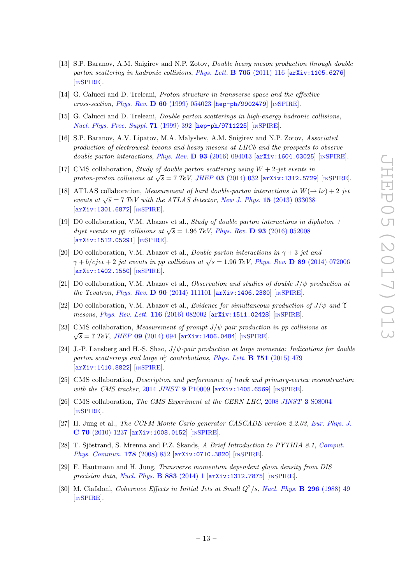- <span id="page-13-0"></span>[13] S.P. Baranov, A.M. Snigirev and N.P. Zotov, Double heavy meson production through double parton scattering in hadronic collisions, [Phys. Lett.](http://dx.doi.org/10.1016/j.physletb.2011.09.106) B 705 (2011) 116 [[arXiv:1105.6276](https://arxiv.org/abs/1105.6276)] [IN[SPIRE](http://inspirehep.net/search?p=find+EPRINT+arXiv:1105.6276)].
- <span id="page-13-1"></span>[14] G. Calucci and D. Treleani, Proton structure in transverse space and the effective cross-section, Phys. Rev. D 60 [\(1999\) 054023](http://dx.doi.org/10.1103/PhysRevD.60.054023) [[hep-ph/9902479](https://arxiv.org/abs/hep-ph/9902479)] [IN[SPIRE](http://inspirehep.net/search?p=find+EPRINT+hep-ph/9902479)].
- <span id="page-13-2"></span>[15] G. Calucci and D. Treleani, *Double parton scatterings in high-energy hadronic collisions*, [Nucl. Phys. Proc. Suppl.](http://dx.doi.org/10.1016/S0920-5632(98)00371-5) 71 (1999) 392 [[hep-ph/9711225](https://arxiv.org/abs/hep-ph/9711225)] [IN[SPIRE](http://inspirehep.net/search?p=find+EPRINT+hep-ph/9711225)].
- <span id="page-13-3"></span>[16] S.P. Baranov, A.V. Lipatov, M.A. Malyshev, A.M. Snigirev and N.P. Zotov, Associated production of electroweak bosons and heavy mesons at LHCb and the prospects to observe double parton interactions, Phys. Rev. D  $93$  [\(2016\) 094013](http://dx.doi.org/10.1103/PhysRevD.93.094013) [[arXiv:1604.03025](https://arxiv.org/abs/1604.03025)] [IN[SPIRE](http://inspirehep.net/search?p=find+EPRINT+arXiv:1604.03025)].
- <span id="page-13-4"></span>[17] CMS collaboration, *Study of double parton scattering using*  $W + 2$ -jet events in proton-proton collisions at  $\sqrt{s} = 7 \text{ TeV}$ , JHEP 03 [\(2014\) 032](http://dx.doi.org/10.1007/JHEP03(2014)032) [[arXiv:1312.5729](https://arxiv.org/abs/1312.5729)] [IN[SPIRE](http://inspirehep.net/search?p=find+EPRINT+arXiv:1312.5729)].
- [18] ATLAS collaboration, *Measurement of hard double-parton interactions in*  $W(\rightarrow l\nu) + 2$  *jet* events at  $\sqrt{s} = 7$  TeV with the ATLAS detector, New J. Phys. 15 [\(2013\) 033038](http://dx.doi.org/10.1088/1367-2630/15/3/033038) [[arXiv:1301.6872](https://arxiv.org/abs/1301.6872)] [IN[SPIRE](http://inspirehep.net/search?p=find+EPRINT+arXiv:1301.6872)].
- [19] D0 collaboration, V.M. Abazov et al., *Study of double parton interactions in diphoton*  $+$  $\sigma$  conaboration,  $\sqrt{s}$  with  $\pi$  is a set of all  $\sqrt{s}$  = 1.96 TeV, Phys. Rev. **D** 93 [\(2016\) 052008](http://dx.doi.org/10.1103/PhysRevD.93.052008) [[arXiv:1512.05291](https://arxiv.org/abs/1512.05291)] [IN[SPIRE](http://inspirehep.net/search?p=find+EPRINT+arXiv:1512.05291)].
- <span id="page-13-5"></span>[20] D0 collaboration, V.M. Abazov et al., Double parton interactions in  $\gamma + 3$  jet and  $\gamma + b/cjet + 2$  jet events in pp̄ collisions at  $\sqrt{s} = 1.96$  TeV, Phys. Rev. **D** 89 [\(2014\) 072006](http://dx.doi.org/10.1103/PhysRevD.89.072006) [[arXiv:1402.1550](https://arxiv.org/abs/1402.1550)] [IN[SPIRE](http://inspirehep.net/search?p=find+EPRINT+arXiv:1402.1550)].
- <span id="page-13-6"></span>[21] D0 collaboration, V.M. Abazov et al., Observation and studies of double  $J/\psi$  production at the Tevatron, Phys. Rev. D  $90$  [\(2014\) 111101](http://dx.doi.org/10.1103/PhysRevD.90.111101)  $\text{arXiv:1406.2380}$  $\text{arXiv:1406.2380}$  $\text{arXiv:1406.2380}$  [IN[SPIRE](http://inspirehep.net/search?p=find+EPRINT+arXiv:1406.2380)].
- <span id="page-13-7"></span>[22] D0 collaboration, V.M. Abazov et al., Evidence for simultaneous production of  $J/\psi$  and  $\Upsilon$ mesons, [Phys. Rev. Lett.](http://dx.doi.org/10.1103/PhysRevLett.116.082002) 116 (2016) 082002 [[arXiv:1511.02428](https://arxiv.org/abs/1511.02428)] [IN[SPIRE](http://inspirehep.net/search?p=find+EPRINT+arXiv:1511.02428)].
- <span id="page-13-8"></span>[23] CMS collaboration, *Measurement of prompt J/* $\psi$  *pair production in pp collisions at*  $\sqrt{s} = 7 \text{ TeV}, \text{ JHEP } 09 \text{ (2014) } 094 \text{ [arXiv:1406.0484] } \text{ [insPIRE].}$  $\sqrt{s} = 7 \text{ TeV}, \text{ JHEP } 09 \text{ (2014) } 094 \text{ [arXiv:1406.0484] } \text{ [insPIRE].}$  $\sqrt{s} = 7 \text{ TeV}, \text{ JHEP } 09 \text{ (2014) } 094 \text{ [arXiv:1406.0484] } \text{ [insPIRE].}$
- <span id="page-13-9"></span>[24] J.-P. Lansberg and H.-S. Shao,  $J/\psi$ -pair production at large momenta: Indications for double parton scatterings and large  $\alpha_s^5$  contributions, [Phys. Lett.](http://dx.doi.org/10.1016/j.physletb.2015.10.083) **B** 751 (2015) 479 [[arXiv:1410.8822](https://arxiv.org/abs/1410.8822)] [IN[SPIRE](http://inspirehep.net/search?p=find+EPRINT+arXiv:1410.8822)].
- <span id="page-13-10"></span>[25] CMS collaboration, Description and performance of track and primary-vertex reconstruction with the CMS tracker, 2014 JINST  $9$  [P10009](http://dx.doi.org/10.1088/1748-0221/9/10/P10009) [[arXiv:1405.6569](https://arxiv.org/abs/1405.6569)] [IN[SPIRE](http://inspirehep.net/search?p=find+EPRINT+arXiv:1405.6569)].
- <span id="page-13-11"></span>[26] CMS collaboration, The CMS Experiment at the CERN LHC, 2008 JINST 3 [S08004](http://dx.doi.org/10.1088/1748-0221/3/08/S08004) [IN[SPIRE](http://inspirehep.net/search?p=find+J+%22JINST,3,S08004%22)].
- <span id="page-13-12"></span>[27] H. Jung et al., The CCFM Monte Carlo generator CASCADE version 2.2.03, [Eur. Phys. J.](http://dx.doi.org/10.1140/epjc/s10052-010-1507-z) C 70 [\(2010\) 1237](http://dx.doi.org/10.1140/epjc/s10052-010-1507-z) [[arXiv:1008.0152](https://arxiv.org/abs/1008.0152)] [IN[SPIRE](http://inspirehep.net/search?p=find+EPRINT+arXiv:1008.0152)].
- <span id="page-13-13"></span>[28] T. Sjöstrand, S. Mrenna and P.Z. Skands, A Brief Introduction to PYTHIA 8.1, [Comput.](http://dx.doi.org/10.1016/j.cpc.2008.01.036) [Phys. Commun.](http://dx.doi.org/10.1016/j.cpc.2008.01.036) 178 (2008) 852 [[arXiv:0710.3820](https://arxiv.org/abs/0710.3820)] [IN[SPIRE](http://inspirehep.net/search?p=find+EPRINT+arXiv:0710.3820)].
- <span id="page-13-14"></span>[29] F. Hautmann and H. Jung, Transverse momentum dependent gluon density from DIS precision data, [Nucl. Phys.](http://dx.doi.org/10.1016/j.nuclphysb.2014.03.014) B 883 (2014) 1 [[arXiv:1312.7875](https://arxiv.org/abs/1312.7875)] [IN[SPIRE](http://inspirehep.net/search?p=find+EPRINT+arXiv:1312.7875)].
- <span id="page-13-15"></span>[30] M. Ciafaloni, Coherence Effects in Initial Jets at Small  $Q^2/s$ , [Nucl. Phys.](http://dx.doi.org/10.1016/0550-3213(88)90380-X) **B 296** (1988) 49 [IN[SPIRE](http://inspirehep.net/search?p=find+J+%22Nucl.Phys.,B296,49%22)].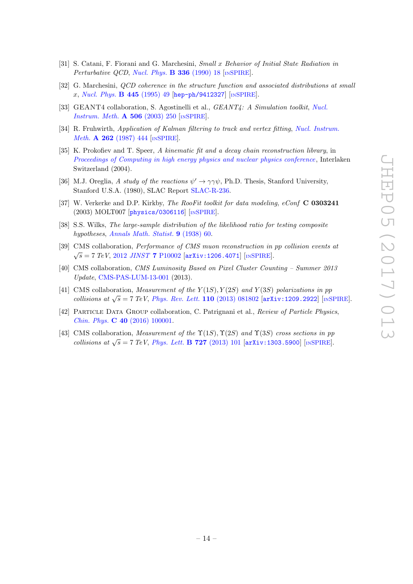- [31] S. Catani, F. Fiorani and G. Marchesini, Small x Behavior of Initial State Radiation in Perturbative QCD, [Nucl. Phys.](http://dx.doi.org/10.1016/0550-3213(90)90342-B) **B 336** (1990) 18 [IN[SPIRE](http://inspirehep.net/search?p=find+J+%22Nucl.Phys.,B336,18%22)].
- <span id="page-14-0"></span>[32] G. Marchesini, QCD coherence in the structure function and associated distributions at small  $x, \text{Nucl. Phys.}$  $x, \text{Nucl. Phys.}$  $x, \text{Nucl. Phys.}$  **B** 445 (1995) 49 [[hep-ph/9412327](https://arxiv.org/abs/hep-ph/9412327)] [IN[SPIRE](http://inspirehep.net/search?p=find+EPRINT+hep-ph/9412327)].
- <span id="page-14-1"></span>[33] GEANT4 collaboration, S. Agostinelli et al., GEANT4: A Simulation toolkit, [Nucl.](http://dx.doi.org/10.1016/S0168-9002(03)01368-8) [Instrum. Meth.](http://dx.doi.org/10.1016/S0168-9002(03)01368-8) A 506 (2003) 250 [IN[SPIRE](http://inspirehep.net/search?p=find+J+%22Nucl.Instrum.Meth.,A506,250%22)].
- <span id="page-14-2"></span>[34] R. Fruhwirth, Application of Kalman filtering to track and vertex fitting, [Nucl. Instrum.](http://dx.doi.org/10.1016/0168-9002(87)90887-4) Meth. **A 262** [\(1987\) 444](http://dx.doi.org/10.1016/0168-9002(87)90887-4) [IN[SPIRE](http://inspirehep.net/search?p=find+J+%22Nucl.Instrum.Meth.,A262,444%22)].
- <span id="page-14-3"></span>[35] K. Prokofiev and T. Speer, A kinematic fit and a decay chain reconstruction library, in [Proceedings of Computing in high energy physics and nuclear physics conference](http://dx.doi.org/10.5170/CERN-2005-002.411), Interlaken Switzerland (2004).
- <span id="page-14-4"></span>[36] M.J. Oreglia, A study of the reactions  $\psi' \to \gamma \gamma \psi$ , Ph.D. Thesis, Stanford University, Stanford U.S.A. (1980), SLAC Report [SLAC-R-236.](http://www.slac.stanford.edu/pubs/slacreports/slac-r-236.html)
- <span id="page-14-5"></span>[37] W. Verkerke and D.P. Kirkby, The RooFit toolkit for data modeling, eConf C 0303241 (2003) MOLT007 [[physics/0306116](https://arxiv.org/abs/physics/0306116)] [IN[SPIRE](http://inspirehep.net/search?p=find+EPRINT+physics/0306116)].
- <span id="page-14-6"></span>[38] S.S. Wilks, The large-sample distribution of the likelihood ratio for testing composite hypotheses, [Annals Math. Statist.](http://dx.doi.org/10.1214/aoms/1177732360) 9 (1938) 60.
- <span id="page-14-7"></span>[39] CMS collaboration, Performance of CMS muon reconstruction in pp collision events at  $\sqrt{s}$  = 7 TeV, 2012 JINST 7 [P10002](http://dx.doi.org/10.1088/1748-0221/7/10/P10002) [[arXiv:1206.4071](https://arxiv.org/abs/1206.4071)] [IN[SPIRE](http://inspirehep.net/search?p=find+EPRINT+arXiv:1206.4071)].
- <span id="page-14-8"></span>[40] CMS collaboration, CMS Luminosity Based on Pixel Cluster Counting – Summer 2013 Update, [CMS-PAS-LUM-13-001](http://cds.cern.ch/record/1598864) (2013).
- <span id="page-14-9"></span>[41] CMS collaboration, *Measurement of the*  $Y(1S)$ ,  $Y(2S)$  and  $Y(3S)$  polarizations in pp collisions at  $\sqrt{s} = 7$  TeV, [Phys. Rev. Lett.](http://dx.doi.org/10.1103/PhysRevLett.110.081802) 110 (2013) 081802 [[arXiv:1209.2922](https://arxiv.org/abs/1209.2922)] [IN[SPIRE](http://inspirehep.net/search?p=find+EPRINT+arXiv:1209.2922)].
- <span id="page-14-10"></span>[42] Particle Data Group collaboration, C. Patrignani et al., Review of Particle Physics, Chin. Phys. C 40 [\(2016\) 100001.](http://dx.doi.org/10.1088/1674-1137/40/10/100001)
- <span id="page-14-11"></span>[43] CMS collaboration, *Measurement of the*  $\Upsilon(1S)$ ,  $\Upsilon(2S)$  and  $\Upsilon(3S)$  cross sections in pp collisions at  $\sqrt{s} = 7$  TeV, [Phys. Lett.](http://dx.doi.org/10.1016/j.physletb.2013.10.033) **B** 727 (2013) 101 [[arXiv:1303.5900](https://arxiv.org/abs/1303.5900)] [IN[SPIRE](http://inspirehep.net/search?p=find+EPRINT+arXiv:1303.5900)].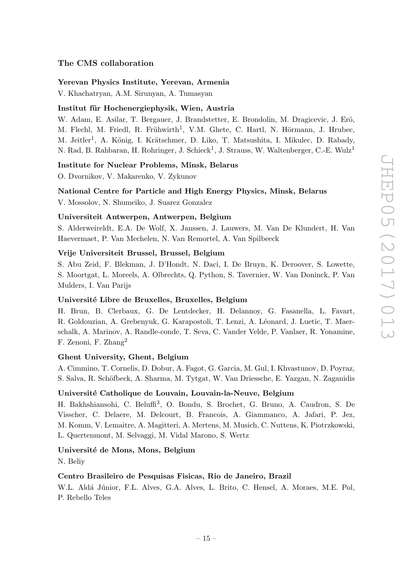## The CMS collaboration

### <span id="page-15-0"></span>Yerevan Physics Institute, Yerevan, Armenia

V. Khachatryan, A.M. Sirunyan, A. Tumasyan

#### Institut für Hochenergiephysik, Wien, Austria

W. Adam, E. Asilar, T. Bergauer, J. Brandstetter, E. Brondolin, M. Dragicevic, J. Erö, M. Flechl, M. Friedl, R. Frühwirth<sup>1</sup>, V.M. Ghete, C. Hartl, N. Hörmann, J. Hrubec, M. Jeitler<sup>1</sup>, A. König, I. Krätschmer, D. Liko, T. Matsushita, I. Mikulec, D. Rabady, N. Rad, B. Rahbaran, H. Rohringer, J. Schieck<sup>1</sup>, J. Strauss, W. Waltenberger, C.-E. Wulz<sup>1</sup>

#### Institute for Nuclear Problems, Minsk, Belarus

O. Dvornikov, V. Makarenko, V. Zykunov

#### National Centre for Particle and High Energy Physics, Minsk, Belarus

V. Mossolov, N. Shumeiko, J. Suarez Gonzalez

### Universiteit Antwerpen, Antwerpen, Belgium

S. Alderweireldt, E.A. De Wolf, X. Janssen, J. Lauwers, M. Van De Klundert, H. Van Haevermaet, P. Van Mechelen, N. Van Remortel, A. Van Spilbeeck

### Vrije Universiteit Brussel, Brussel, Belgium

S. Abu Zeid, F. Blekman, J. D'Hondt, N. Daci, I. De Bruyn, K. Deroover, S. Lowette, S. Moortgat, L. Moreels, A. Olbrechts, Q. Python, S. Tavernier, W. Van Doninck, P. Van Mulders, I. Van Parijs

### Universit´e Libre de Bruxelles, Bruxelles, Belgium

H. Brun, B. Clerbaux, G. De Lentdecker, H. Delannoy, G. Fasanella, L. Favart, R. Goldouzian, A. Grebenyuk, G. Karapostoli, T. Lenzi, A. Léonard, J. Luetic, T. Maerschalk, A. Marinov, A. Randle-conde, T. Seva, C. Vander Velde, P. Vanlaer, R. Yonamine, F. Zenoni, F. Zhang<sup>2</sup>

## Ghent University, Ghent, Belgium

A. Cimmino, T. Cornelis, D. Dobur, A. Fagot, G. Garcia, M. Gul, I. Khvastunov, D. Poyraz, S. Salva, R. Schöfbeck, A. Sharma, M. Tytgat, W. Van Driessche, E. Yazgan, N. Zaganidis

### Université Catholique de Louvain, Louvain-la-Neuve, Belgium

H. Bakhshiansohi, C. Beluffi<sup>3</sup> , O. Bondu, S. Brochet, G. Bruno, A. Caudron, S. De Visscher, C. Delaere, M. Delcourt, B. Francois, A. Giammanco, A. Jafari, P. Jez, M. Komm, V. Lemaitre, A. Magitteri, A. Mertens, M. Musich, C. Nuttens, K. Piotrzkowski, L. Quertenmont, M. Selvaggi, M. Vidal Marono, S. Wertz

### Université de Mons, Mons, Belgium

N. Beliy

### Centro Brasileiro de Pesquisas Fisicas, Rio de Janeiro, Brazil

W.L. Aldá Júnior, F.L. Alves, G.A. Alves, L. Brito, C. Hensel, A. Moraes, M.E. Pol, P. Rebello Teles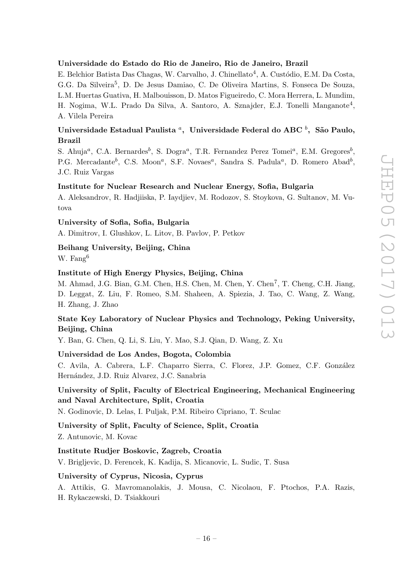### Universidade do Estado do Rio de Janeiro, Rio de Janeiro, Brazil

E. Belchior Batista Das Chagas, W. Carvalho, J. Chinellato<sup>4</sup>, A. Custódio, E.M. Da Costa, G.G. Da Silveira<sup>5</sup>, D. De Jesus Damiao, C. De Oliveira Martins, S. Fonseca De Souza, L.M. Huertas Guativa, H. Malbouisson, D. Matos Figueiredo, C. Mora Herrera, L. Mundim, H. Nogima, W.L. Prado Da Silva, A. Santoro, A. Sznajder, E.J. Tonelli Manganote<sup>4</sup>, A. Vilela Pereira

## Universidade Estadual Paulista <sup>a</sup>, Universidade Federal do ABC  $^b$ , São Paulo, Brazil

S. Ahuja<sup>a</sup>, C.A. Bernardes<sup>b</sup>, S. Dogra<sup>a</sup>, T.R. Fernandez Perez Tomei<sup>a</sup>, E.M. Gregores<sup>b</sup>, P.G. Mercadante<sup>b</sup>, C.S. Moon<sup>a</sup>, S.F. Novaes<sup>a</sup>, Sandra S. Padula<sup>a</sup>, D. Romero Abad<sup>b</sup>, J.C. Ruiz Vargas

### Institute for Nuclear Research and Nuclear Energy, Sofia, Bulgaria

A. Aleksandrov, R. Hadjiiska, P. Iaydjiev, M. Rodozov, S. Stoykova, G. Sultanov, M. Vutova

#### University of Sofia, Sofia, Bulgaria

A. Dimitrov, I. Glushkov, L. Litov, B. Pavlov, P. Petkov

## Beihang University, Beijing, China

W. Fang<sup>6</sup>

## Institute of High Energy Physics, Beijing, China

M. Ahmad, J.G. Bian, G.M. Chen, H.S. Chen, M. Chen, Y. Chen<sup>7</sup>, T. Cheng, C.H. Jiang, D. Leggat, Z. Liu, F. Romeo, S.M. Shaheen, A. Spiezia, J. Tao, C. Wang, Z. Wang, H. Zhang, J. Zhao

## State Key Laboratory of Nuclear Physics and Technology, Peking University, Beijing, China

Y. Ban, G. Chen, Q. Li, S. Liu, Y. Mao, S.J. Qian, D. Wang, Z. Xu

### Universidad de Los Andes, Bogota, Colombia

C. Avila, A. Cabrera, L.F. Chaparro Sierra, C. Florez, J.P. Gomez, C.F. González Hernández, J.D. Ruiz Alvarez, J.C. Sanabria

## University of Split, Faculty of Electrical Engineering, Mechanical Engineering and Naval Architecture, Split, Croatia

N. Godinovic, D. Lelas, I. Puljak, P.M. Ribeiro Cipriano, T. Sculac

#### University of Split, Faculty of Science, Split, Croatia

Z. Antunovic, M. Kovac

Institute Rudjer Boskovic, Zagreb, Croatia

V. Brigljevic, D. Ferencek, K. Kadija, S. Micanovic, L. Sudic, T. Susa

#### University of Cyprus, Nicosia, Cyprus

A. Attikis, G. Mavromanolakis, J. Mousa, C. Nicolaou, F. Ptochos, P.A. Razis, H. Rykaczewski, D. Tsiakkouri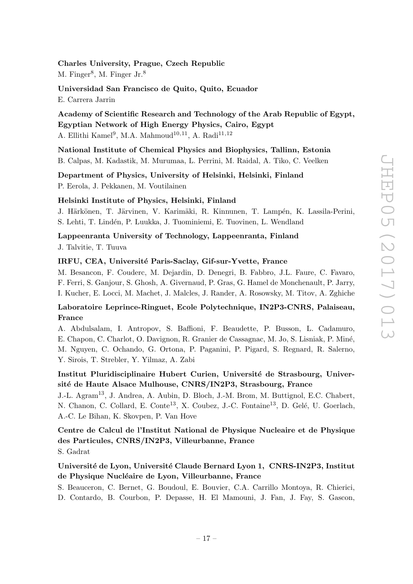## Charles University, Prague, Czech Republic

M. Finger<sup>8</sup>, M. Finger  $Jr.^8$ 

Universidad San Francisco de Quito, Quito, Ecuador E. Carrera Jarrin

Academy of Scientific Research and Technology of the Arab Republic of Egypt, Egyptian Network of High Energy Physics, Cairo, Egypt A. Ellithi Kamel<sup>9</sup>, M.A. Mahmoud<sup>10,11</sup>, A. Radi<sup>11,12</sup>

National Institute of Chemical Physics and Biophysics, Tallinn, Estonia B. Calpas, M. Kadastik, M. Murumaa, L. Perrini, M. Raidal, A. Tiko, C. Veelken

Department of Physics, University of Helsinki, Helsinki, Finland

P. Eerola, J. Pekkanen, M. Voutilainen

### Helsinki Institute of Physics, Helsinki, Finland

J. Härkönen, T. Järvinen, V. Karimäki, R. Kinnunen, T. Lampén, K. Lassila-Perini, S. Lehti, T. Lind´en, P. Luukka, J. Tuominiemi, E. Tuovinen, L. Wendland

Lappeenranta University of Technology, Lappeenranta, Finland J. Talvitie, T. Tuuva

## IRFU, CEA, Université Paris-Saclay, Gif-sur-Yvette, France

M. Besancon, F. Couderc, M. Dejardin, D. Denegri, B. Fabbro, J.L. Faure, C. Favaro, F. Ferri, S. Ganjour, S. Ghosh, A. Givernaud, P. Gras, G. Hamel de Monchenault, P. Jarry, I. Kucher, E. Locci, M. Machet, J. Malcles, J. Rander, A. Rosowsky, M. Titov, A. Zghiche

## Laboratoire Leprince-Ringuet, Ecole Polytechnique, IN2P3-CNRS, Palaiseau, France

A. Abdulsalam, I. Antropov, S. Baffioni, F. Beaudette, P. Busson, L. Cadamuro, E. Chapon, C. Charlot, O. Davignon, R. Granier de Cassagnac, M. Jo, S. Lisniak, P. Miné, M. Nguyen, C. Ochando, G. Ortona, P. Paganini, P. Pigard, S. Regnard, R. Salerno, Y. Sirois, T. Strebler, Y. Yilmaz, A. Zabi

## Institut Pluridisciplinaire Hubert Curien, Université de Strasbourg, Université de Haute Alsace Mulhouse, CNRS/IN2P3, Strasbourg, France

J.-L. Agram13, J. Andrea, A. Aubin, D. Bloch, J.-M. Brom, M. Buttignol, E.C. Chabert, N. Chanon, C. Collard, E. Conte<sup>13</sup>, X. Coubez, J.-C. Fontaine<sup>13</sup>, D. Gelé, U. Goerlach, A.-C. Le Bihan, K. Skovpen, P. Van Hove

Centre de Calcul de l'Institut National de Physique Nucleaire et de Physique des Particules, CNRS/IN2P3, Villeurbanne, France S. Gadrat

## Université de Lyon, Université Claude Bernard Lyon 1, CNRS-IN2P3, Institut de Physique Nucléaire de Lyon, Villeurbanne, France

S. Beauceron, C. Bernet, G. Boudoul, E. Bouvier, C.A. Carrillo Montoya, R. Chierici, D. Contardo, B. Courbon, P. Depasse, H. El Mamouni, J. Fan, J. Fay, S. Gascon,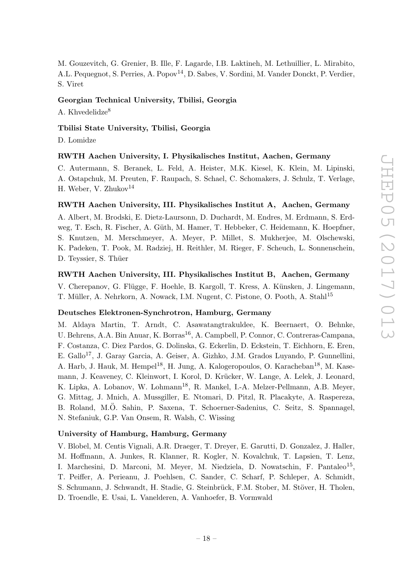M. Gouzevitch, G. Grenier, B. Ille, F. Lagarde, I.B. Laktineh, M. Lethuillier, L. Mirabito, A.L. Pequegnot, S. Perries, A. Popov<sup>14</sup>, D. Sabes, V. Sordini, M. Vander Donckt, P. Verdier, S. Viret

### Georgian Technical University, Tbilisi, Georgia

A. Khvedelidze<sup>8</sup>

### Tbilisi State University, Tbilisi, Georgia

D. Lomidze

### RWTH Aachen University, I. Physikalisches Institut, Aachen, Germany

C. Autermann, S. Beranek, L. Feld, A. Heister, M.K. Kiesel, K. Klein, M. Lipinski, A. Ostapchuk, M. Preuten, F. Raupach, S. Schael, C. Schomakers, J. Schulz, T. Verlage, H. Weber, V. Zhukov $^{14}$ 

### RWTH Aachen University, III. Physikalisches Institut A, Aachen, Germany

A. Albert, M. Brodski, E. Dietz-Laursonn, D. Duchardt, M. Endres, M. Erdmann, S. Erdweg, T. Esch, R. Fischer, A. Güth, M. Hamer, T. Hebbeker, C. Heidemann, K. Hoepfner, S. Knutzen, M. Merschmeyer, A. Meyer, P. Millet, S. Mukherjee, M. Olschewski, K. Padeken, T. Pook, M. Radziej, H. Reithler, M. Rieger, F. Scheuch, L. Sonnenschein, D. Teyssier, S. Thüer

#### RWTH Aachen University, III. Physikalisches Institut B, Aachen, Germany

V. Cherepanov, G. Flügge, F. Hoehle, B. Kargoll, T. Kress, A. Künsken, J. Lingemann, T. Müller, A. Nehrkorn, A. Nowack, I.M. Nugent, C. Pistone, O. Pooth, A. Stahl<sup>15</sup>

## Deutsches Elektronen-Synchrotron, Hamburg, Germany

M. Aldaya Martin, T. Arndt, C. Asawatangtrakuldee, K. Beernaert, O. Behnke, U. Behrens, A.A. Bin Anuar, K. Borras<sup>16</sup>, A. Campbell, P. Connor, C. Contreras-Campana, F. Costanza, C. Diez Pardos, G. Dolinska, G. Eckerlin, D. Eckstein, T. Eichhorn, E. Eren, E. Gallo<sup>17</sup>, J. Garay Garcia, A. Geiser, A. Gizhko, J.M. Grados Luyando, P. Gunnellini, A. Harb, J. Hauk, M. Hempel<sup>18</sup>, H. Jung, A. Kalogeropoulos, O. Karacheban<sup>18</sup>, M. Kasemann, J. Keaveney, C. Kleinwort, I. Korol, D. Krücker, W. Lange, A. Lelek, J. Leonard, K. Lipka, A. Lobanov, W. Lohmann<sup>18</sup>, R. Mankel, I.-A. Melzer-Pellmann, A.B. Meyer, G. Mittag, J. Mnich, A. Mussgiller, E. Ntomari, D. Pitzl, R. Placakyte, A. Raspereza, B. Roland, M.O. Sahin, P. Saxena, T. Schoerner-Sadenius, C. Seitz, S. Spannagel, ¨ N. Stefaniuk, G.P. Van Onsem, R. Walsh, C. Wissing

### University of Hamburg, Hamburg, Germany

V. Blobel, M. Centis Vignali, A.R. Draeger, T. Dreyer, E. Garutti, D. Gonzalez, J. Haller, M. Hoffmann, A. Junkes, R. Klanner, R. Kogler, N. Kovalchuk, T. Lapsien, T. Lenz, I. Marchesini, D. Marconi, M. Meyer, M. Niedziela, D. Nowatschin, F. Pantaleo<sup>15</sup>, T. Peiffer, A. Perieanu, J. Poehlsen, C. Sander, C. Scharf, P. Schleper, A. Schmidt, S. Schumann, J. Schwandt, H. Stadie, G. Steinbrück, F.M. Stober, M. Stöver, H. Tholen, D. Troendle, E. Usai, L. Vanelderen, A. Vanhoefer, B. Vormwald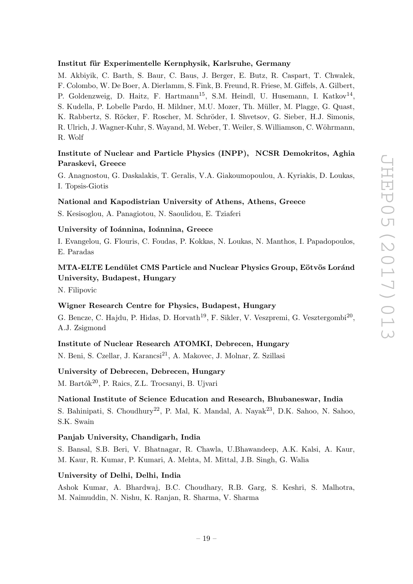### Institut für Experimentelle Kernphysik, Karlsruhe, Germany

M. Akbiyik, C. Barth, S. Baur, C. Baus, J. Berger, E. Butz, R. Caspart, T. Chwalek, F. Colombo, W. De Boer, A. Dierlamm, S. Fink, B. Freund, R. Friese, M. Giffels, A. Gilbert, P. Goldenzweig, D. Haitz, F. Hartmann<sup>15</sup>, S.M. Heindl, U. Husemann, I. Katkov<sup>14</sup>, S. Kudella, P. Lobelle Pardo, H. Mildner, M.U. Mozer, Th. M¨uller, M. Plagge, G. Quast, K. Rabbertz, S. Röcker, F. Roscher, M. Schröder, I. Shvetsov, G. Sieber, H.J. Simonis, R. Ulrich, J. Wagner-Kuhr, S. Wayand, M. Weber, T. Weiler, S. Williamson, C. Wöhrmann, R. Wolf

## Institute of Nuclear and Particle Physics (INPP), NCSR Demokritos, Aghia Paraskevi, Greece

G. Anagnostou, G. Daskalakis, T. Geralis, V.A. Giakoumopoulou, A. Kyriakis, D. Loukas, I. Topsis-Giotis

### National and Kapodistrian University of Athens, Athens, Greece

S. Kesisoglou, A. Panagiotou, N. Saoulidou, E. Tziaferi

### University of Ioánnina, Ioánnina, Greece

I. Evangelou, G. Flouris, C. Foudas, P. Kokkas, N. Loukas, N. Manthos, I. Papadopoulos, E. Paradas

## MTA-ELTE Lendület CMS Particle and Nuclear Physics Group, Eötvös Loránd University, Budapest, Hungary

N. Filipovic

## Wigner Research Centre for Physics, Budapest, Hungary

G. Bencze, C. Hajdu, P. Hidas, D. Horvath<sup>19</sup>, F. Sikler, V. Veszpremi, G. Vesztergombi<sup>20</sup>, A.J. Zsigmond

### Institute of Nuclear Research ATOMKI, Debrecen, Hungary

N. Beni, S. Czellar, J. Karancsi<sup>21</sup>, A. Makovec, J. Molnar, Z. Szillasi

## University of Debrecen, Debrecen, Hungary

M. Bartók<sup>20</sup>, P. Raics, Z.L. Trocsanyi, B. Ujvari

## National Institute of Science Education and Research, Bhubaneswar, India

S. Bahinipati, S. Choudhury<sup>22</sup>, P. Mal, K. Mandal, A. Nayak<sup>23</sup>, D.K. Sahoo, N. Sahoo, S.K. Swain

## Panjab University, Chandigarh, India

S. Bansal, S.B. Beri, V. Bhatnagar, R. Chawla, U.Bhawandeep, A.K. Kalsi, A. Kaur, M. Kaur, R. Kumar, P. Kumari, A. Mehta, M. Mittal, J.B. Singh, G. Walia

## University of Delhi, Delhi, India

Ashok Kumar, A. Bhardwaj, B.C. Choudhary, R.B. Garg, S. Keshri, S. Malhotra, M. Naimuddin, N. Nishu, K. Ranjan, R. Sharma, V. Sharma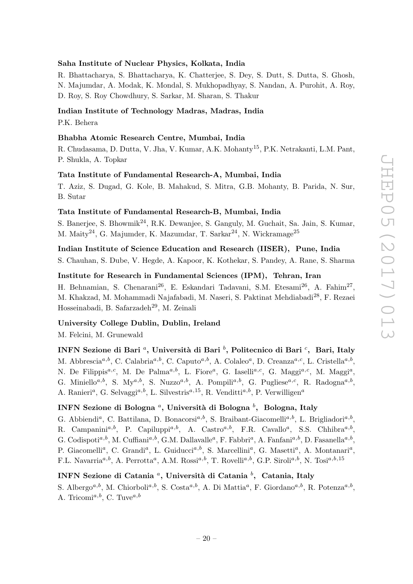## Saha Institute of Nuclear Physics, Kolkata, India

R. Bhattacharya, S. Bhattacharya, K. Chatterjee, S. Dey, S. Dutt, S. Dutta, S. Ghosh, N. Majumdar, A. Modak, K. Mondal, S. Mukhopadhyay, S. Nandan, A. Purohit, A. Roy, D. Roy, S. Roy Chowdhury, S. Sarkar, M. Sharan, S. Thakur

### Indian Institute of Technology Madras, Madras, India

P.K. Behera

#### Bhabha Atomic Research Centre, Mumbai, India

R. Chudasama, D. Dutta, V. Jha, V. Kumar, A.K. Mohanty15, P.K. Netrakanti, L.M. Pant, P. Shukla, A. Topkar

#### Tata Institute of Fundamental Research-A, Mumbai, India

T. Aziz, S. Dugad, G. Kole, B. Mahakud, S. Mitra, G.B. Mohanty, B. Parida, N. Sur, B. Sutar

### Tata Institute of Fundamental Research-B, Mumbai, India

S. Banerjee, S. Bhowmik24, R.K. Dewanjee, S. Ganguly, M. Guchait, Sa. Jain, S. Kumar, M. Maity<sup>24</sup>, G. Majumder, K. Mazumdar, T. Sarkar<sup>24</sup>, N. Wickramage<sup>25</sup>

### Indian Institute of Science Education and Research (IISER), Pune, India

S. Chauhan, S. Dube, V. Hegde, A. Kapoor, K. Kothekar, S. Pandey, A. Rane, S. Sharma

## Institute for Research in Fundamental Sciences (IPM), Tehran, Iran

H. Behnamian, S. Chenarani<sup>26</sup>, E. Eskandari Tadavani, S.M. Etesami<sup>26</sup>, A. Fahim<sup>27</sup>, M. Khakzad, M. Mohammadi Najafabadi, M. Naseri, S. Paktinat Mehdiabadi28, F. Rezaei Hosseinabadi, B. Safarzadeh<sup>29</sup>, M. Zeinali

### University College Dublin, Dublin, Ireland

M. Felcini, M. Grunewald

INFN Sezione di Bari <sup>a</sup>, Università di Bari  $^b$ , Politecnico di Bari  $^c$ , Bari, Italy M. Abbrescia<sup>a,b</sup>, C. Calabria<sup>a,b</sup>, C. Caputo<sup>a,b</sup>, A. Colaleo<sup>a</sup>, D. Creanza<sup>a,c</sup>, L. Cristella<sup>a,b</sup>, N. De Filippis<sup>a,c</sup>, M. De Palma<sup>a,b</sup>, L. Fiore<sup>a</sup>, G. Iaselli<sup>a,c</sup>, G. Maggi<sup>a,c</sup>, M. Maggi<sup>a</sup>, G. Miniello<sup>a,b</sup>, S. My<sup>a,b</sup>, S. Nuzzo<sup>a,b</sup>, A. Pompili<sup>a,b</sup>, G. Pugliese<sup>a,c</sup>, R. Radogna<sup>a,b</sup>, A. Ranieri<sup>a</sup>, G. Selvaggi<sup>a,b</sup>, L. Silvestris<sup>a, 15</sup>, R. Venditti<sup>a,b</sup>, P. Verwilligen<sup>a</sup>

## INFN Sezione di Bologna <sup>a</sup>, Università di Bologna  $^b$ , Bologna, Italy

G. Abbiendi<sup>a</sup>, C. Battilana, D. Bonacorsi<sup>a,b</sup>, S. Braibant-Giacomelli<sup>a,b</sup>, L. Brigliadori<sup>a,b</sup>, R. Campanini<sup>a,b</sup>, P. Capiluppi<sup>a,b</sup>, A. Castro<sup>a,b</sup>, F.R. Cavallo<sup>a</sup>, S.S. Chhibra<sup>a,b</sup>, G. Codispoti<sup>a,b</sup>, M. Cuffiani<sup>a,b</sup>, G.M. Dallavalle<sup>a</sup>, F. Fabbri<sup>a</sup>, A. Fanfani<sup>a,b</sup>, D. Fasanella<sup>a,b</sup>, P. Giacomelli<sup>a</sup>, C. Grandi<sup>a</sup>, L. Guiducci<sup>a,b</sup>, S. Marcellini<sup>a</sup>, G. Masetti<sup>a</sup>, A. Montanari<sup>a</sup>, F.L. Navarria<sup>a,b</sup>, A. Perrotta<sup>a</sup>, A.M. Rossi<sup>a,b</sup>, T. Rovelli<sup>a,b</sup>, G.P. Siroli<sup>a,b</sup>, N. Tosi<sup>a,b,15</sup>

## INFN Sezione di Catania <sup>a</sup>, Università di Catania  $^b$ , Catania, Italy

S. Albergo<sup>a,b</sup>, M. Chiorboli<sup>a,b</sup>, S. Costa<sup>a,b</sup>, A. Di Mattia<sup>a</sup>, F. Giordano<sup>a,b</sup>, R. Potenza<sup>a,b</sup>, A. Tricomi<sup>a,b</sup>, C. Tuve<sup>a,b</sup>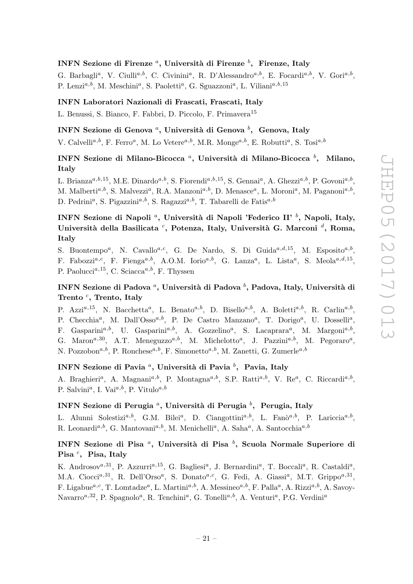## INFN Sezione di Firenze  $^a,$  Università di Firenze  $^b, \,$  Firenze, Italy

G. Barbagli<sup>a</sup>, V. Ciulli<sup>a,b</sup>, C. Civinini<sup>a</sup>, R. D'Alessandro<sup>a,b</sup>, E. Focardi<sup>a,b</sup>, V. Gori<sup>a,b</sup>, P. Lenzi<sup>a,b</sup>, M. Meschini<sup>a</sup>, S. Paoletti<sup>a</sup>, G. Sguazzoni<sup>a</sup>, L. Viliani<sup>a,b,15</sup>

## INFN Laboratori Nazionali di Frascati, Frascati, Italy

L. Benussi, S. Bianco, F. Fabbri, D. Piccolo, F. Primavera<sup>15</sup>

## INFN Sezione di Genova  $^a,$  Università di Genova  $^b, \,$  Genova, Italy

V. Calvelli<sup>a,b</sup>, F. Ferro<sup>a</sup>, M. Lo Vetere<sup>a,b</sup>, M.R. Monge<sup>a,b</sup>, E. Robutti<sup>a</sup>, S. Tosi<sup>a,b</sup>

## INFN Sezione di Milano-Bicocca <sup>a</sup>, Università di Milano-Bicocca <sup>b</sup>, Milano, Italy

L. Brianza<sup>a,b,15</sup>, M.E. Dinardo<sup>a,b</sup>, S. Fiorendi<sup>a,b,15</sup>, S. Gennai<sup>a</sup>, A. Ghezzi<sup>a,b</sup>, P. Govoni<sup>a,b</sup>, M. Malberti<sup>a,b</sup>, S. Malvezzi<sup>a</sup>, R.A. Manzoni<sup>a,b</sup>, D. Menasce<sup>a</sup>, L. Moroni<sup>a</sup>, M. Paganoni<sup>a,b</sup>, D. Pedrini<sup>a</sup>, S. Pigazzini<sup>a,b</sup>, S. Ragazzi<sup>a,b</sup>, T. Tabarelli de Fatis<sup>a,b</sup>

## INFN Sezione di Napoli <sup>a</sup>, Università di Napoli 'Federico II'  $^b$ , Napoli, Italy, Università della Basilicata  $^c$ , Potenza, Italy, Università G. Marconi  $^d$ , Roma, Italy

S. Buontempo<sup>a</sup>, N. Cavallo<sup>a,c</sup>, G. De Nardo, S. Di Guida<sup>a,d,15</sup>, M. Esposito<sup>a,b</sup>, F. Fabozzi<sup>a,c</sup>, F. Fienga<sup>a,b</sup>, A.O.M. Iorio<sup>a,b</sup>, G. Lanza<sup>a</sup>, L. Lista<sup>a</sup>, S. Meola<sup>a,d,15</sup>, P. Paolucci<sup>a, 15</sup>, C. Sciacca<sup>a,b</sup>, F. Thyssen

## INFN Sezione di Padova <sup>a</sup>, Università di Padova  $^b$ , Padova, Italy, Università di  $Trento<sup>c</sup>$ , Trento, Italy

P. Azzi<sup>a, 15</sup>, N. Bacchetta<sup>a</sup>, L. Benato<sup>a,b</sup>, D. Bisello<sup>a,b</sup>, A. Boletti<sup>a,b</sup>, R. Carlin<sup>a,b</sup>, P. Checchia<sup>a</sup>, M. Dall'Osso<sup>a,b</sup>, P. De Castro Manzano<sup>a</sup>, T. Dorigo<sup>a</sup>, U. Dosselli<sup>a</sup>, F. Gasparini<sup>a,b</sup>, U. Gasparini<sup>a,b</sup>, A. Gozzelino<sup>a</sup>, S. Lacaprara<sup>a</sup>, M. Margoni<sup>a,b</sup>, G. Maron<sup>a, 30</sup>, A.T. Meneguzzo<sup>a, b</sup>, M. Michelotto<sup>a</sup>, J. Pazzini<sup>a, b</sup>, M. Pegoraro<sup>a</sup>, N. Pozzobon<sup>a,b</sup>, P. Ronchese<sup>a,b</sup>, F. Simonetto<sup>a,b</sup>, M. Zanetti, G. Zumerle<sup>a,b</sup>

## INFN Sezione di Pavia <sup>a</sup>, Università di Pavia  $^b$ , Pavia, Italy

A. Braghieri<sup>a</sup>, A. Magnani<sup>a,b</sup>, P. Montagna<sup>a,b</sup>, S.P. Ratti<sup>a,b</sup>, V. Re<sup>a</sup>, C. Riccardi<sup>a,b</sup>, P. Salvini<sup>a</sup>, I. Vai<sup> $a,b$ </sup>, P. Vitulo<sup> $a,b$ </sup>

## INFN Sezione di Perugia  $^a,$  Università di Perugia  $^b, \,$  Perugia, Italy

L. Alunni Solestizi<sup>a,b</sup>, G.M. Bilei<sup>a</sup>, D. Ciangottini<sup>a,b</sup>, L. Fanò<sup>a,b</sup>, P. Lariccia<sup>a,b</sup>, R. Leonardi<sup>a, b</sup>, G. Mantovani<sup>a, b</sup>, M. Menichelli<sup>a</sup>, A. Saha<sup>a</sup>, A. Santocchia<sup>a, b</sup>

## INFN Sezione di Pisa <sup>a</sup>, Università di Pisa <sup>b</sup>, Scuola Normale Superiore di Pisa<sup>c</sup>, Pisa, Italy

K. Androsov<sup>a, 31</sup>, P. Azzurri<sup>a, 15</sup>, G. Bagliesi<sup>a</sup>, J. Bernardini<sup>a</sup>, T. Boccali<sup>a</sup>, R. Castaldi<sup>a</sup>, M.A. Ciocci<sup>a,31</sup>, R. Dell'Orso<sup>a</sup>, S. Donato<sup>a,c</sup>, G. Fedi, A. Giassi<sup>a</sup>, M.T. Grippo<sup>a,31</sup>, F. Ligabue<sup>a, c</sup>, T. Lomtadze<sup>a</sup>, L. Martini<sup>a, b</sup>, A. Messineo<sup>a, b</sup>, F. Palla<sup>a</sup>, A. Rizzi<sup>a, b</sup>, A. Savoy-Navarro<sup>a, 32</sup>, P. Spagnolo<sup>a</sup>, R. Tenchini<sup>a</sup>, G. Tonelli<sup>a, b</sup>, A. Venturi<sup>a</sup>, P.G. Verdini<sup>a</sup>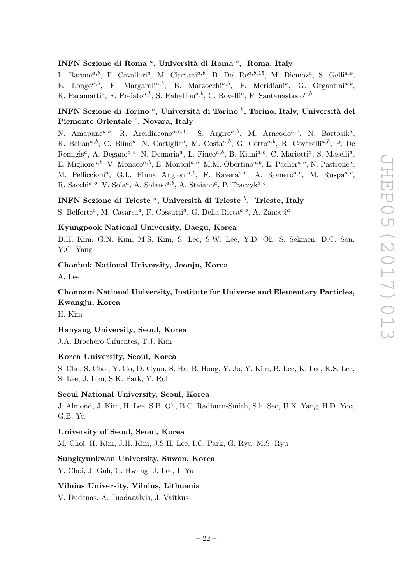## INFN Sezione di Roma  $^a,$  Università di Roma  $^b, \, \,$  Roma, Italy

L. Barone<sup>a,b</sup>, F. Cavallari<sup>a</sup>, M. Cipriani<sup>a,b</sup>, D. Del Re<sup>a,b,15</sup>, M. Diemoz<sup>a</sup>, S. Gelli<sup>a,b</sup>, E. Longo<sup>a,b</sup>, F. Margaroli<sup>a,b</sup>, B. Marzocchi<sup>a,b</sup>, P. Meridiani<sup>a</sup>, G. Organtini<sup>a,b</sup>, R. Paramatti<sup>a</sup>, F. Preiato<sup>a,b</sup>, S. Rahatlou<sup>a,b</sup>, C. Rovelli<sup>a</sup>, F. Santanastasio<sup>a,b</sup>

## INFN Sezione di Torino <sup>a</sup>, Università di Torino  $^b,$  Torino, Italy, Università del Piemonte Orientale  $^c$ , Novara, Italy

N. Amapane<sup>a,b</sup>, R. Arcidiacono<sup>a,c,15</sup>, S. Argiro<sup>a,b</sup>, M. Arneodo<sup>a,c</sup>, N. Bartosik<sup>a</sup>, R. Bellan<sup>a,b</sup>, C. Biino<sup>a</sup>, N. Cartiglia<sup>a</sup>, M. Costa<sup>a,b</sup>, G. Cotto<sup>a,b</sup>, R. Covarelli<sup>a,b</sup>, P. De Remigis<sup>a</sup>, A. Degano<sup>a,b</sup>, N. Demaria<sup>a</sup>, L. Finco<sup>a,b</sup>, B. Kiani<sup>a,b</sup>, C. Mariotti<sup>a</sup>, S. Maselli<sup>a</sup>, E. Migliore<sup>a,b</sup>, V. Monaco<sup>a,b</sup>, E. Monteil<sup>a,b</sup>, M.M. Obertino<sup>a,b</sup>, L. Pacher<sup>a,b</sup>, N. Pastrone<sup>a</sup>, M. Pelliccioni<sup>a</sup>, G.L. Pinna Angioni<sup>a,b</sup>, F. Ravera<sup>a,b</sup>, A. Romero<sup>a,b</sup>, M. Ruspa<sup>a,c</sup>, R. Sacchi<sup>a,b</sup>, V. Sola<sup>a</sup>, A. Solano<sup>a,b</sup>, A. Staiano<sup>a</sup>, P. Traczyk<sup>a,b</sup>

## INFN Sezione di Trieste <sup>a</sup>, Università di Trieste  $^b$ , Trieste, Italy

S. Belforte<sup>a</sup>, M. Casarsa<sup>a</sup>, F. Cossutti<sup>a</sup>, G. Della Ricca<sup>a,b</sup>, A. Zanetti<sup>a</sup>

## Kyungpook National University, Daegu, Korea

D.H. Kim, G.N. Kim, M.S. Kim, S. Lee, S.W. Lee, Y.D. Oh, S. Sekmen, D.C. Son, Y.C. Yang

Chonbuk National University, Jeonju, Korea

A. Lee

# Chonnam National University, Institute for Universe and Elementary Particles, Kwangju, Korea

H. Kim

Hanyang University, Seoul, Korea

J.A. Brochero Cifuentes, T.J. Kim

## Korea University, Seoul, Korea

S. Cho, S. Choi, Y. Go, D. Gyun, S. Ha, B. Hong, Y. Jo, Y. Kim, B. Lee, K. Lee, K.S. Lee, S. Lee, J. Lim, S.K. Park, Y. Roh

#### Seoul National University, Seoul, Korea

J. Almond, J. Kim, H. Lee, S.B. Oh, B.C. Radburn-Smith, S.h. Seo, U.K. Yang, H.D. Yoo, G.B. Yu

### University of Seoul, Seoul, Korea

M. Choi, H. Kim, J.H. Kim, J.S.H. Lee, I.C. Park, G. Ryu, M.S. Ryu

## Sungkyunkwan University, Suwon, Korea

Y. Choi, J. Goh, C. Hwang, J. Lee, I. Yu

### Vilnius University, Vilnius, Lithuania

V. Dudenas, A. Juodagalvis, J. Vaitkus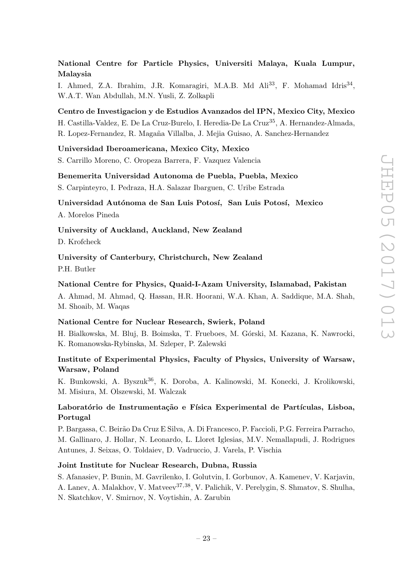## National Centre for Particle Physics, Universiti Malaya, Kuala Lumpur, Malaysia

I. Ahmed, Z.A. Ibrahim, J.R. Komaragiri, M.A.B. Md Ali<sup>33</sup>, F. Mohamad Idris<sup>34</sup>, W.A.T. Wan Abdullah, M.N. Yusli, Z. Zolkapli

Centro de Investigacion y de Estudios Avanzados del IPN, Mexico City, Mexico

H. Castilla-Valdez, E. De La Cruz-Burelo, I. Heredia-De La Cruz<sup>35</sup>, A. Hernandez-Almada, R. Lopez-Fernandez, R. Magaña Villalba, J. Mejia Guisao, A. Sanchez-Hernandez

### Universidad Iberoamericana, Mexico City, Mexico

S. Carrillo Moreno, C. Oropeza Barrera, F. Vazquez Valencia

#### Benemerita Universidad Autonoma de Puebla, Puebla, Mexico

S. Carpinteyro, I. Pedraza, H.A. Salazar Ibarguen, C. Uribe Estrada

### Universidad Autónoma de San Luis Potosí, San Luis Potosí, Mexico

A. Morelos Pineda

## University of Auckland, Auckland, New Zealand

D. Krofcheck

## University of Canterbury, Christchurch, New Zealand P.H. Butler

### National Centre for Physics, Quaid-I-Azam University, Islamabad, Pakistan

A. Ahmad, M. Ahmad, Q. Hassan, H.R. Hoorani, W.A. Khan, A. Saddique, M.A. Shah, M. Shoaib, M. Waqas

## National Centre for Nuclear Research, Swierk, Poland

H. Bialkowska, M. Bluj, B. Boimska, T. Frueboes, M. G´orski, M. Kazana, K. Nawrocki, K. Romanowska-Rybinska, M. Szleper, P. Zalewski

## Institute of Experimental Physics, Faculty of Physics, University of Warsaw, Warsaw, Poland

K. Bunkowski, A. Byszuk36, K. Doroba, A. Kalinowski, M. Konecki, J. Krolikowski, M. Misiura, M. Olszewski, M. Walczak

## Laboratório de Instrumentação e Física Experimental de Partículas, Lisboa, Portugal

P. Bargassa, C. Beirão Da Cruz E Silva, A. Di Francesco, P. Faccioli, P.G. Ferreira Parracho, M. Gallinaro, J. Hollar, N. Leonardo, L. Lloret Iglesias, M.V. Nemallapudi, J. Rodrigues Antunes, J. Seixas, O. Toldaiev, D. Vadruccio, J. Varela, P. Vischia

## Joint Institute for Nuclear Research, Dubna, Russia

S. Afanasiev, P. Bunin, M. Gavrilenko, I. Golutvin, I. Gorbunov, A. Kamenev, V. Karjavin, A. Lanev, A. Malakhov, V. Matveev<sup>37, 38</sup>, V. Palichik, V. Perelygin, S. Shmatov, S. Shulha, N. Skatchkov, V. Smirnov, N. Voytishin, A. Zarubin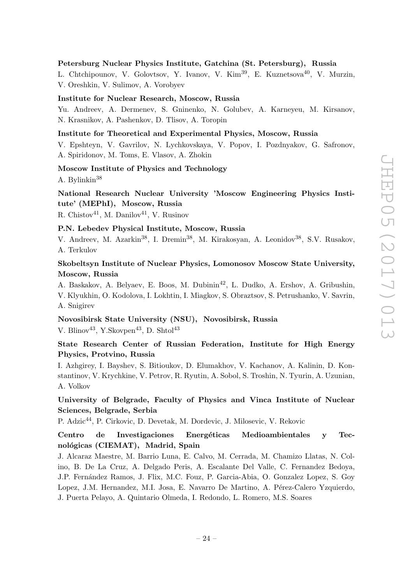### Petersburg Nuclear Physics Institute, Gatchina (St. Petersburg), Russia

L. Chtchipounov, V. Golovtsov, Y. Ivanov, V. Kim<sup>39</sup>, E. Kuznetsova<sup>40</sup>, V. Murzin, V. Oreshkin, V. Sulimov, A. Vorobyev

### Institute for Nuclear Research, Moscow, Russia

Yu. Andreev, A. Dermenev, S. Gninenko, N. Golubev, A. Karneyeu, M. Kirsanov, N. Krasnikov, A. Pashenkov, D. Tlisov, A. Toropin

### Institute for Theoretical and Experimental Physics, Moscow, Russia

V. Epshteyn, V. Gavrilov, N. Lychkovskaya, V. Popov, I. Pozdnyakov, G. Safronov, A. Spiridonov, M. Toms, E. Vlasov, A. Zhokin

### Moscow Institute of Physics and Technology

A. Bylinkin<sup>38</sup>

## National Research Nuclear University 'Moscow Engineering Physics Institute' (MEPhI), Moscow, Russia

R. Chistov<sup>41</sup>, M. Danilov<sup>41</sup>, V. Rusinov

## P.N. Lebedev Physical Institute, Moscow, Russia

V. Andreev, M. Azarkin<sup>38</sup>, I. Dremin<sup>38</sup>, M. Kirakosyan, A. Leonidov<sup>38</sup>, S.V. Rusakov, A. Terkulov

## Skobeltsyn Institute of Nuclear Physics, Lomonosov Moscow State University, Moscow, Russia

A. Baskakov, A. Belyaev, E. Boos, M. Dubinin42, L. Dudko, A. Ershov, A. Gribushin, V. Klyukhin, O. Kodolova, I. Lokhtin, I. Miagkov, S. Obraztsov, S. Petrushanko, V. Savrin, A. Snigirev

Novosibirsk State University (NSU), Novosibirsk, Russia V. Blinov<sup>43</sup>, Y.Skovpen<sup>43</sup>, D. Shtol<sup>43</sup>

## State Research Center of Russian Federation, Institute for High Energy Physics, Protvino, Russia

I. Azhgirey, I. Bayshev, S. Bitioukov, D. Elumakhov, V. Kachanov, A. Kalinin, D. Konstantinov, V. Krychkine, V. Petrov, R. Ryutin, A. Sobol, S. Troshin, N. Tyurin, A. Uzunian, A. Volkov

## University of Belgrade, Faculty of Physics and Vinca Institute of Nuclear Sciences, Belgrade, Serbia

P. Adzic<sup>44</sup>, P. Cirkovic, D. Devetak, M. Dordevic, J. Milosevic, V. Rekovic

## Centro de Investigaciones Energéticas Medioambientales y Tecnológicas (CIEMAT), Madrid, Spain

J. Alcaraz Maestre, M. Barrio Luna, E. Calvo, M. Cerrada, M. Chamizo Llatas, N. Colino, B. De La Cruz, A. Delgado Peris, A. Escalante Del Valle, C. Fernandez Bedoya, J.P. Fern´andez Ramos, J. Flix, M.C. Fouz, P. Garcia-Abia, O. Gonzalez Lopez, S. Goy Lopez, J.M. Hernandez, M.I. Josa, E. Navarro De Martino, A. Pérez-Calero Yzquierdo, J. Puerta Pelayo, A. Quintario Olmeda, I. Redondo, L. Romero, M.S. Soares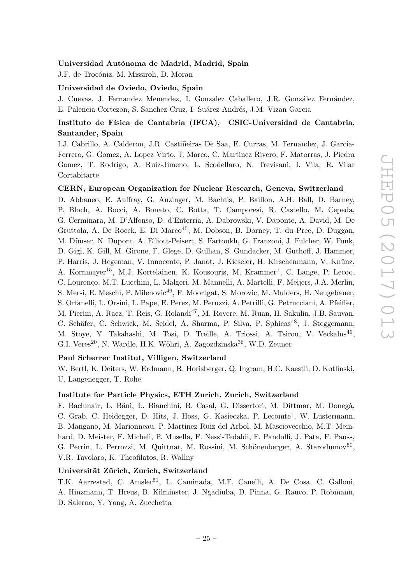### Universidad Autónoma de Madrid, Madrid, Spain

J.F. de Trocóniz, M. Missiroli, D. Moran

### Universidad de Oviedo, Oviedo, Spain

J. Cuevas, J. Fernandez Menendez, I. Gonzalez Caballero, J.R. González Fernández, E. Palencia Cortezon, S. Sanchez Cruz, I. Suárez Andrés, J.M. Vizan Garcia

## Instituto de Física de Cantabria (IFCA), CSIC-Universidad de Cantabria, Santander, Spain

I.J. Cabrillo, A. Calderon, J.R. Castiñeiras De Saa, E. Curras, M. Fernandez, J. Garcia-Ferrero, G. Gomez, A. Lopez Virto, J. Marco, C. Martinez Rivero, F. Matorras, J. Piedra Gomez, T. Rodrigo, A. Ruiz-Jimeno, L. Scodellaro, N. Trevisani, I. Vila, R. Vilar Cortabitarte

#### CERN, European Organization for Nuclear Research, Geneva, Switzerland

D. Abbaneo, E. Auffray, G. Auzinger, M. Bachtis, P. Baillon, A.H. Ball, D. Barney, P. Bloch, A. Bocci, A. Bonato, C. Botta, T. Camporesi, R. Castello, M. Cepeda, G. Cerminara, M. D'Alfonso, D. d'Enterria, A. Dabrowski, V. Daponte, A. David, M. De Gruttola, A. De Roeck, E. Di Marco<sup>45</sup>, M. Dobson, B. Dorney, T. du Pree, D. Duggan, M. Dünser, N. Dupont, A. Elliott-Peisert, S. Fartoukh, G. Franzoni, J. Fulcher, W. Funk, D. Gigi, K. Gill, M. Girone, F. Glege, D. Gulhan, S. Gundacker, M. Guthoff, J. Hammer, P. Harris, J. Hegeman, V. Innocente, P. Janot, J. Kieseler, H. Kirschenmann, V. Knünz, A. Kornmayer<sup>15</sup>, M.J. Kortelainen, K. Kousouris, M. Krammer<sup>1</sup>, C. Lange, P. Lecoq, C. Lourenço, M.T. Lucchini, L. Malgeri, M. Mannelli, A. Martelli, F. Meijers, J.A. Merlin, S. Mersi, E. Meschi, P. Milenovic46, F. Moortgat, S. Morovic, M. Mulders, H. Neugebauer, S. Orfanelli, L. Orsini, L. Pape, E. Perez, M. Peruzzi, A. Petrilli, G. Petrucciani, A. Pfeiffer, M. Pierini, A. Racz, T. Reis, G. Rolandi<sup>47</sup>, M. Rovere, M. Ruan, H. Sakulin, J.B. Sauvan, C. Schäfer, C. Schwick, M. Seidel, A. Sharma, P. Silva, P. Sphicas<sup>48</sup>, J. Steggemann, M. Stoye, Y. Takahashi, M. Tosi, D. Treille, A. Triossi, A. Tsirou, V. Veckalns<sup>49</sup>, G.I. Veres<sup>20</sup>, N. Wardle, H.K. Wöhri, A. Zagozdzinska<sup>36</sup>, W.D. Zeuner

### Paul Scherrer Institut, Villigen, Switzerland

W. Bertl, K. Deiters, W. Erdmann, R. Horisberger, Q. Ingram, H.C. Kaestli, D. Kotlinski, U. Langenegger, T. Rohe

#### Institute for Particle Physics, ETH Zurich, Zurich, Switzerland

F. Bachmair, L. Bäni, L. Bianchini, B. Casal, G. Dissertori, M. Dittmar, M. Donegà, C. Grab, C. Heidegger, D. Hits, J. Hoss, G. Kasieczka, P. Lecomte† , W. Lustermann, B. Mangano, M. Marionneau, P. Martinez Ruiz del Arbol, M. Masciovecchio, M.T. Meinhard, D. Meister, F. Micheli, P. Musella, F. Nessi-Tedaldi, F. Pandolfi, J. Pata, F. Pauss, G. Perrin, L. Perrozzi, M. Quittnat, M. Rossini, M. Schönenberger, A. Starodumov<sup>50</sup>, V.R. Tavolaro, K. Theofilatos, R. Wallny

## Universität Zürich, Zurich, Switzerland

T.K. Aarrestad, C. Amsler<sup>51</sup>, L. Caminada, M.F. Canelli, A. De Cosa, C. Galloni, A. Hinzmann, T. Hreus, B. Kilminster, J. Ngadiuba, D. Pinna, G. Rauco, P. Robmann, D. Salerno, Y. Yang, A. Zucchetta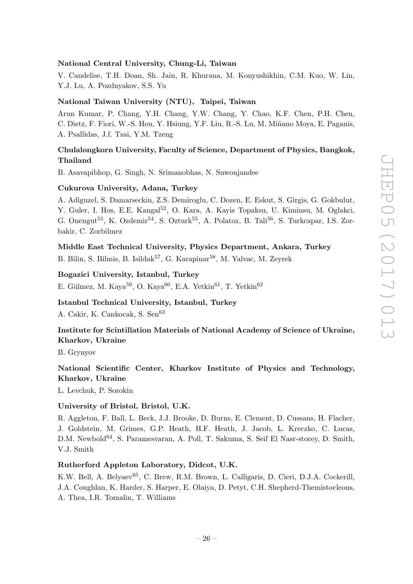### National Central University, Chung-Li, Taiwan

V. Candelise, T.H. Doan, Sh. Jain, R. Khurana, M. Konyushikhin, C.M. Kuo, W. Lin, Y.J. Lu, A. Pozdnyakov, S.S. Yu

### National Taiwan University (NTU), Taipei, Taiwan

Arun Kumar, P. Chang, Y.H. Chang, Y.W. Chang, Y. Chao, K.F. Chen, P.H. Chen, C. Dietz, F. Fiori, W.-S. Hou, Y. Hsiung, Y.F. Liu, R.-S. Lu, M. Miñano Moya, E. Paganis, A. Psallidas, J.f. Tsai, Y.M. Tzeng

## Chulalongkorn University, Faculty of Science, Department of Physics, Bangkok, Thailand

B. Asavapibhop, G. Singh, N. Srimanobhas, N. Suwonjandee

#### Cukurova University, Adana, Turkey

A. Adiguzel, S. Damarseckin, Z.S. Demiroglu, C. Dozen, E. Eskut, S. Girgis, G. Gokbulut, Y. Guler, I. Hos, E.E. Kangal<sup>52</sup>, O. Kara, A. Kayis Topaksu, U. Kiminsu, M. Oglakci, G. Onengut<sup>53</sup>, K. Ozdemir<sup>54</sup>, S. Ozturk<sup>55</sup>, A. Polatoz, B. Tali<sup>56</sup>, S. Turkcapar, I.S. Zorbakir, C. Zorbilmez

## Middle East Technical University, Physics Department, Ankara, Turkey

B. Bilin, S. Bilmis, B. Isildak<sup>57</sup>, G. Karapinar<sup>58</sup>, M. Yalvac, M. Zeyrek

### Bogazici University, Istanbul, Turkey

E. Gülmez, M. Kaya<sup>59</sup>, O. Kaya<sup>60</sup>, E.A. Yetkin<sup>61</sup>, T. Yetkin<sup>62</sup>

### Istanbul Technical University, Istanbul, Turkey

A. Cakir, K. Cankocak, S. Sen<sup>63</sup>

## Institute for Scintillation Materials of National Academy of Science of Ukraine, Kharkov, Ukraine

B. Grynyov

## National Scientific Center, Kharkov Institute of Physics and Technology, Kharkov, Ukraine

L. Levchuk, P. Sorokin

### University of Bristol, Bristol, U.K.

R. Aggleton, F. Ball, L. Beck, J.J. Brooke, D. Burns, E. Clement, D. Cussans, H. Flacher, J. Goldstein, M. Grimes, G.P. Heath, H.F. Heath, J. Jacob, L. Kreczko, C. Lucas, D.M. Newbold<sup>64</sup>, S. Paramesvaran, A. Poll, T. Sakuma, S. Seif El Nasr-storey, D. Smith, V.J. Smith

## Rutherford Appleton Laboratory, Didcot, U.K.

K.W. Bell, A. Belyaev<sup>65</sup>, C. Brew, R.M. Brown, L. Calligaris, D. Cieri, D.J.A. Cockerill, J.A. Coughlan, K. Harder, S. Harper, E. Olaiya, D. Petyt, C.H. Shepherd-Themistocleous, A. Thea, I.R. Tomalin, T. Williams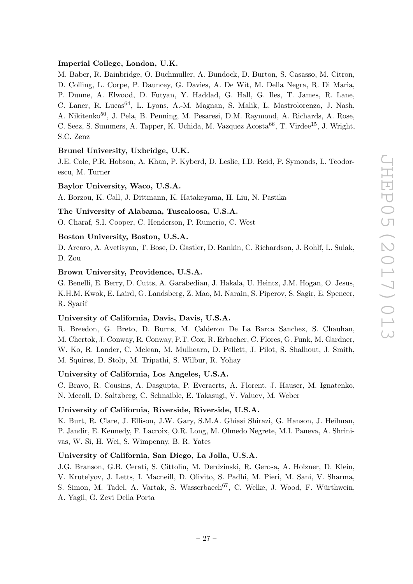### Imperial College, London, U.K.

M. Baber, R. Bainbridge, O. Buchmuller, A. Bundock, D. Burton, S. Casasso, M. Citron, D. Colling, L. Corpe, P. Dauncey, G. Davies, A. De Wit, M. Della Negra, R. Di Maria, P. Dunne, A. Elwood, D. Futyan, Y. Haddad, G. Hall, G. Iles, T. James, R. Lane, C. Laner, R. Lucas<sup>64</sup>, L. Lyons, A.-M. Magnan, S. Malik, L. Mastrolorenzo, J. Nash, A. Nikitenko<sup>50</sup>, J. Pela, B. Penning, M. Pesaresi, D.M. Raymond, A. Richards, A. Rose, C. Seez, S. Summers, A. Tapper, K. Uchida, M. Vazquez Acosta<sup>66</sup>, T. Virdee<sup>15</sup>, J. Wright, S.C. Zenz

#### Brunel University, Uxbridge, U.K.

J.E. Cole, P.R. Hobson, A. Khan, P. Kyberd, D. Leslie, I.D. Reid, P. Symonds, L. Teodorescu, M. Turner

### Baylor University, Waco, U.S.A.

A. Borzou, K. Call, J. Dittmann, K. Hatakeyama, H. Liu, N. Pastika

### The University of Alabama, Tuscaloosa, U.S.A.

O. Charaf, S.I. Cooper, C. Henderson, P. Rumerio, C. West

### Boston University, Boston, U.S.A.

D. Arcaro, A. Avetisyan, T. Bose, D. Gastler, D. Rankin, C. Richardson, J. Rohlf, L. Sulak, D. Zou

### Brown University, Providence, U.S.A.

G. Benelli, E. Berry, D. Cutts, A. Garabedian, J. Hakala, U. Heintz, J.M. Hogan, O. Jesus, K.H.M. Kwok, E. Laird, G. Landsberg, Z. Mao, M. Narain, S. Piperov, S. Sagir, E. Spencer, R. Syarif

### University of California, Davis, Davis, U.S.A.

R. Breedon, G. Breto, D. Burns, M. Calderon De La Barca Sanchez, S. Chauhan, M. Chertok, J. Conway, R. Conway, P.T. Cox, R. Erbacher, C. Flores, G. Funk, M. Gardner, W. Ko, R. Lander, C. Mclean, M. Mulhearn, D. Pellett, J. Pilot, S. Shalhout, J. Smith, M. Squires, D. Stolp, M. Tripathi, S. Wilbur, R. Yohay

## University of California, Los Angeles, U.S.A.

C. Bravo, R. Cousins, A. Dasgupta, P. Everaerts, A. Florent, J. Hauser, M. Ignatenko, N. Mccoll, D. Saltzberg, C. Schnaible, E. Takasugi, V. Valuev, M. Weber

#### University of California, Riverside, Riverside, U.S.A.

K. Burt, R. Clare, J. Ellison, J.W. Gary, S.M.A. Ghiasi Shirazi, G. Hanson, J. Heilman, P. Jandir, E. Kennedy, F. Lacroix, O.R. Long, M. Olmedo Negrete, M.I. Paneva, A. Shrinivas, W. Si, H. Wei, S. Wimpenny, B. R. Yates

## University of California, San Diego, La Jolla, U.S.A.

J.G. Branson, G.B. Cerati, S. Cittolin, M. Derdzinski, R. Gerosa, A. Holzner, D. Klein, V. Krutelyov, J. Letts, I. Macneill, D. Olivito, S. Padhi, M. Pieri, M. Sani, V. Sharma, S. Simon, M. Tadel, A. Vartak, S. Wasserbaech<sup>67</sup>, C. Welke, J. Wood, F. Würthwein, A. Yagil, G. Zevi Della Porta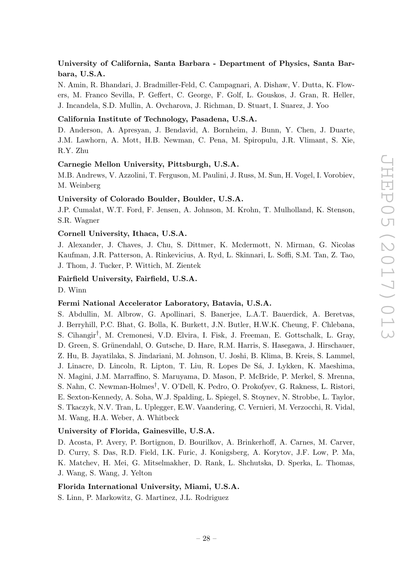## University of California, Santa Barbara - Department of Physics, Santa Barbara, U.S.A.

N. Amin, R. Bhandari, J. Bradmiller-Feld, C. Campagnari, A. Dishaw, V. Dutta, K. Flowers, M. Franco Sevilla, P. Geffert, C. George, F. Golf, L. Gouskos, J. Gran, R. Heller, J. Incandela, S.D. Mullin, A. Ovcharova, J. Richman, D. Stuart, I. Suarez, J. Yoo

### California Institute of Technology, Pasadena, U.S.A.

D. Anderson, A. Apresyan, J. Bendavid, A. Bornheim, J. Bunn, Y. Chen, J. Duarte, J.M. Lawhorn, A. Mott, H.B. Newman, C. Pena, M. Spiropulu, J.R. Vlimant, S. Xie, R.Y. Zhu

## Carnegie Mellon University, Pittsburgh, U.S.A.

M.B. Andrews, V. Azzolini, T. Ferguson, M. Paulini, J. Russ, M. Sun, H. Vogel, I. Vorobiev, M. Weinberg

## University of Colorado Boulder, Boulder, U.S.A.

J.P. Cumalat, W.T. Ford, F. Jensen, A. Johnson, M. Krohn, T. Mulholland, K. Stenson, S.R. Wagner

## Cornell University, Ithaca, U.S.A.

J. Alexander, J. Chaves, J. Chu, S. Dittmer, K. Mcdermott, N. Mirman, G. Nicolas Kaufman, J.R. Patterson, A. Rinkevicius, A. Ryd, L. Skinnari, L. Soffi, S.M. Tan, Z. Tao, J. Thom, J. Tucker, P. Wittich, M. Zientek

### Fairfield University, Fairfield, U.S.A.

D. Winn

### Fermi National Accelerator Laboratory, Batavia, U.S.A.

S. Abdullin, M. Albrow, G. Apollinari, S. Banerjee, L.A.T. Bauerdick, A. Beretvas, J. Berryhill, P.C. Bhat, G. Bolla, K. Burkett, J.N. Butler, H.W.K. Cheung, F. Chlebana, S. Cihangir† , M. Cremonesi, V.D. Elvira, I. Fisk, J. Freeman, E. Gottschalk, L. Gray, D. Green, S. Grünendahl, O. Gutsche, D. Hare, R.M. Harris, S. Hasegawa, J. Hirschauer, Z. Hu, B. Jayatilaka, S. Jindariani, M. Johnson, U. Joshi, B. Klima, B. Kreis, S. Lammel, J. Linacre, D. Lincoln, R. Lipton, T. Liu, R. Lopes De Sá, J. Lykken, K. Maeshima, N. Magini, J.M. Marraffino, S. Maruyama, D. Mason, P. McBride, P. Merkel, S. Mrenna, S. Nahn, C. Newman-Holmes† , V. O'Dell, K. Pedro, O. Prokofyev, G. Rakness, L. Ristori, E. Sexton-Kennedy, A. Soha, W.J. Spalding, L. Spiegel, S. Stoynev, N. Strobbe, L. Taylor, S. Tkaczyk, N.V. Tran, L. Uplegger, E.W. Vaandering, C. Vernieri, M. Verzocchi, R. Vidal, M. Wang, H.A. Weber, A. Whitbeck

### University of Florida, Gainesville, U.S.A.

D. Acosta, P. Avery, P. Bortignon, D. Bourilkov, A. Brinkerhoff, A. Carnes, M. Carver, D. Curry, S. Das, R.D. Field, I.K. Furic, J. Konigsberg, A. Korytov, J.F. Low, P. Ma, K. Matchev, H. Mei, G. Mitselmakher, D. Rank, L. Shchutska, D. Sperka, L. Thomas, J. Wang, S. Wang, J. Yelton

### Florida International University, Miami, U.S.A.

S. Linn, P. Markowitz, G. Martinez, J.L. Rodriguez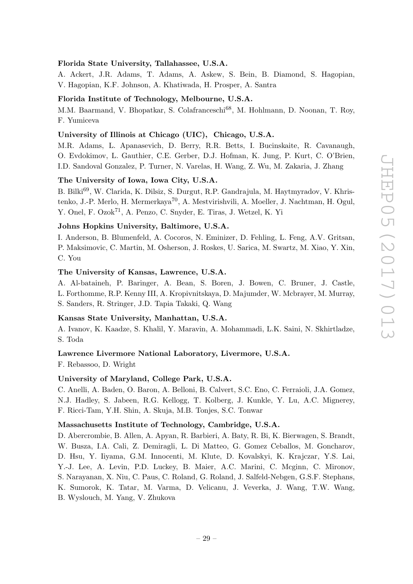### Florida State University, Tallahassee, U.S.A.

A. Ackert, J.R. Adams, T. Adams, A. Askew, S. Bein, B. Diamond, S. Hagopian, V. Hagopian, K.F. Johnson, A. Khatiwada, H. Prosper, A. Santra

### Florida Institute of Technology, Melbourne, U.S.A.

M.M. Baarmand, V. Bhopatkar, S. Colafranceschi<sup>68</sup>, M. Hohlmann, D. Noonan, T. Roy, F. Yumiceva

## University of Illinois at Chicago (UIC), Chicago, U.S.A.

M.R. Adams, L. Apanasevich, D. Berry, R.R. Betts, I. Bucinskaite, R. Cavanaugh, O. Evdokimov, L. Gauthier, C.E. Gerber, D.J. Hofman, K. Jung, P. Kurt, C. O'Brien, I.D. Sandoval Gonzalez, P. Turner, N. Varelas, H. Wang, Z. Wu, M. Zakaria, J. Zhang

## The University of Iowa, Iowa City, U.S.A.

B. Bilki<sup>69</sup>, W. Clarida, K. Dilsiz, S. Durgut, R.P. Gandrajula, M. Haytmyradov, V. Khristenko, J.-P. Merlo, H. Mermerkaya<sup>70</sup>, A. Mestvirishvili, A. Moeller, J. Nachtman, H. Ogul, Y. Onel, F. Ozok<sup>71</sup>, A. Penzo, C. Snyder, E. Tiras, J. Wetzel, K. Yi

## Johns Hopkins University, Baltimore, U.S.A.

I. Anderson, B. Blumenfeld, A. Cocoros, N. Eminizer, D. Fehling, L. Feng, A.V. Gritsan, P. Maksimovic, C. Martin, M. Osherson, J. Roskes, U. Sarica, M. Swartz, M. Xiao, Y. Xin, C. You

### The University of Kansas, Lawrence, U.S.A.

A. Al-bataineh, P. Baringer, A. Bean, S. Boren, J. Bowen, C. Bruner, J. Castle, L. Forthomme, R.P. Kenny III, A. Kropivnitskaya, D. Majumder, W. Mcbrayer, M. Murray, S. Sanders, R. Stringer, J.D. Tapia Takaki, Q. Wang

### Kansas State University, Manhattan, U.S.A.

A. Ivanov, K. Kaadze, S. Khalil, Y. Maravin, A. Mohammadi, L.K. Saini, N. Skhirtladze, S. Toda

### Lawrence Livermore National Laboratory, Livermore, U.S.A.

F. Rebassoo, D. Wright

### University of Maryland, College Park, U.S.A.

C. Anelli, A. Baden, O. Baron, A. Belloni, B. Calvert, S.C. Eno, C. Ferraioli, J.A. Gomez, N.J. Hadley, S. Jabeen, R.G. Kellogg, T. Kolberg, J. Kunkle, Y. Lu, A.C. Mignerey, F. Ricci-Tam, Y.H. Shin, A. Skuja, M.B. Tonjes, S.C. Tonwar

### Massachusetts Institute of Technology, Cambridge, U.S.A.

D. Abercrombie, B. Allen, A. Apyan, R. Barbieri, A. Baty, R. Bi, K. Bierwagen, S. Brandt, W. Busza, I.A. Cali, Z. Demiragli, L. Di Matteo, G. Gomez Ceballos, M. Goncharov, D. Hsu, Y. Iiyama, G.M. Innocenti, M. Klute, D. Kovalskyi, K. Krajczar, Y.S. Lai, Y.-J. Lee, A. Levin, P.D. Luckey, B. Maier, A.C. Marini, C. Mcginn, C. Mironov, S. Narayanan, X. Niu, C. Paus, C. Roland, G. Roland, J. Salfeld-Nebgen, G.S.F. Stephans, K. Sumorok, K. Tatar, M. Varma, D. Velicanu, J. Veverka, J. Wang, T.W. Wang, B. Wyslouch, M. Yang, V. Zhukova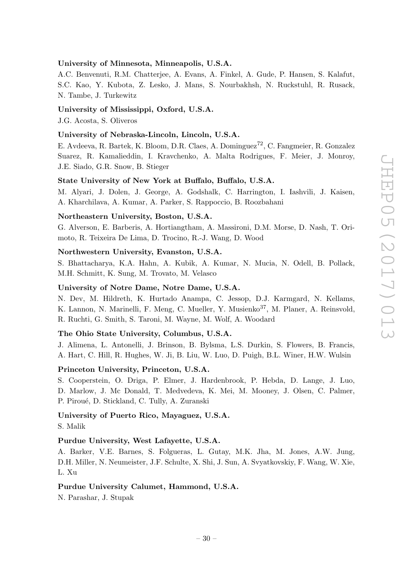### University of Minnesota, Minneapolis, U.S.A.

A.C. Benvenuti, R.M. Chatterjee, A. Evans, A. Finkel, A. Gude, P. Hansen, S. Kalafut, S.C. Kao, Y. Kubota, Z. Lesko, J. Mans, S. Nourbakhsh, N. Ruckstuhl, R. Rusack, N. Tambe, J. Turkewitz

### University of Mississippi, Oxford, U.S.A.

J.G. Acosta, S. Oliveros

## University of Nebraska-Lincoln, Lincoln, U.S.A.

E. Avdeeva, R. Bartek, K. Bloom, D.R. Claes, A. Dominguez<sup>72</sup>, C. Fangmeier, R. Gonzalez Suarez, R. Kamalieddin, I. Kravchenko, A. Malta Rodrigues, F. Meier, J. Monroy, J.E. Siado, G.R. Snow, B. Stieger

### State University of New York at Buffalo, Buffalo, U.S.A.

M. Alyari, J. Dolen, J. George, A. Godshalk, C. Harrington, I. Iashvili, J. Kaisen, A. Kharchilava, A. Kumar, A. Parker, S. Rappoccio, B. Roozbahani

### Northeastern University, Boston, U.S.A.

G. Alverson, E. Barberis, A. Hortiangtham, A. Massironi, D.M. Morse, D. Nash, T. Orimoto, R. Teixeira De Lima, D. Trocino, R.-J. Wang, D. Wood

#### Northwestern University, Evanston, U.S.A.

S. Bhattacharya, K.A. Hahn, A. Kubik, A. Kumar, N. Mucia, N. Odell, B. Pollack, M.H. Schmitt, K. Sung, M. Trovato, M. Velasco

## University of Notre Dame, Notre Dame, U.S.A.

N. Dev, M. Hildreth, K. Hurtado Anampa, C. Jessop, D.J. Karmgard, N. Kellams, K. Lannon, N. Marinelli, F. Meng, C. Mueller, Y. Musienko<sup>37</sup>, M. Planer, A. Reinsvold, R. Ruchti, G. Smith, S. Taroni, M. Wayne, M. Wolf, A. Woodard

#### The Ohio State University, Columbus, U.S.A.

J. Alimena, L. Antonelli, J. Brinson, B. Bylsma, L.S. Durkin, S. Flowers, B. Francis, A. Hart, C. Hill, R. Hughes, W. Ji, B. Liu, W. Luo, D. Puigh, B.L. Winer, H.W. Wulsin

#### Princeton University, Princeton, U.S.A.

S. Cooperstein, O. Driga, P. Elmer, J. Hardenbrook, P. Hebda, D. Lange, J. Luo, D. Marlow, J. Mc Donald, T. Medvedeva, K. Mei, M. Mooney, J. Olsen, C. Palmer, P. Piroué, D. Stickland, C. Tully, A. Zuranski

### University of Puerto Rico, Mayaguez, U.S.A.

S. Malik

### Purdue University, West Lafayette, U.S.A.

A. Barker, V.E. Barnes, S. Folgueras, L. Gutay, M.K. Jha, M. Jones, A.W. Jung, D.H. Miller, N. Neumeister, J.F. Schulte, X. Shi, J. Sun, A. Svyatkovskiy, F. Wang, W. Xie, L. Xu

#### Purdue University Calumet, Hammond, U.S.A.

N. Parashar, J. Stupak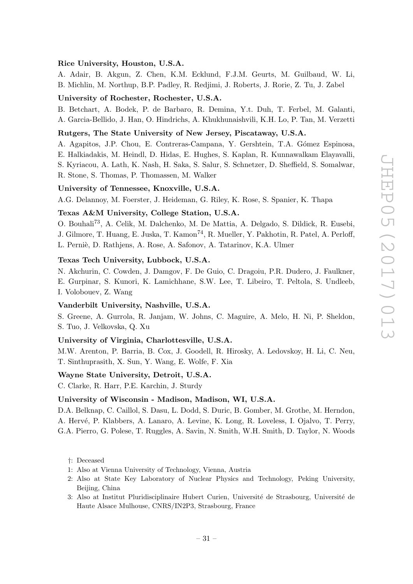### Rice University, Houston, U.S.A.

A. Adair, B. Akgun, Z. Chen, K.M. Ecklund, F.J.M. Geurts, M. Guilbaud, W. Li, B. Michlin, M. Northup, B.P. Padley, R. Redjimi, J. Roberts, J. Rorie, Z. Tu, J. Zabel

#### University of Rochester, Rochester, U.S.A.

B. Betchart, A. Bodek, P. de Barbaro, R. Demina, Y.t. Duh, T. Ferbel, M. Galanti, A. Garcia-Bellido, J. Han, O. Hindrichs, A. Khukhunaishvili, K.H. Lo, P. Tan, M. Verzetti

### Rutgers, The State University of New Jersey, Piscataway, U.S.A.

A. Agapitos, J.P. Chou, E. Contreras-Campana, Y. Gershtein, T.A. Gómez Espinosa,

E. Halkiadakis, M. Heindl, D. Hidas, E. Hughes, S. Kaplan, R. Kunnawalkam Elayavalli,

S. Kyriacou, A. Lath, K. Nash, H. Saka, S. Salur, S. Schnetzer, D. Sheffield, S. Somalwar, R. Stone, S. Thomas, P. Thomassen, M. Walker

#### University of Tennessee, Knoxville, U.S.A.

A.G. Delannoy, M. Foerster, J. Heideman, G. Riley, K. Rose, S. Spanier, K. Thapa

### Texas A&M University, College Station, U.S.A.

O. Bouhali73, A. Celik, M. Dalchenko, M. De Mattia, A. Delgado, S. Dildick, R. Eusebi, J. Gilmore, T. Huang, E. Juska, T. Kamon<sup>74</sup>, R. Mueller, Y. Pakhotin, R. Patel, A. Perloff, L. Perniè, D. Rathjens, A. Rose, A. Safonov, A. Tatarinov, K.A. Ulmer

#### Texas Tech University, Lubbock, U.S.A.

N. Akchurin, C. Cowden, J. Damgov, F. De Guio, C. Dragoiu, P.R. Dudero, J. Faulkner, E. Gurpinar, S. Kunori, K. Lamichhane, S.W. Lee, T. Libeiro, T. Peltola, S. Undleeb, I. Volobouev, Z. Wang

#### Vanderbilt University, Nashville, U.S.A.

S. Greene, A. Gurrola, R. Janjam, W. Johns, C. Maguire, A. Melo, H. Ni, P. Sheldon, S. Tuo, J. Velkovska, Q. Xu

### University of Virginia, Charlottesville, U.S.A.

M.W. Arenton, P. Barria, B. Cox, J. Goodell, R. Hirosky, A. Ledovskoy, H. Li, C. Neu, T. Sinthuprasith, X. Sun, Y. Wang, E. Wolfe, F. Xia

#### Wayne State University, Detroit, U.S.A.

C. Clarke, R. Harr, P.E. Karchin, J. Sturdy

### University of Wisconsin - Madison, Madison, WI, U.S.A.

D.A. Belknap, C. Caillol, S. Dasu, L. Dodd, S. Duric, B. Gomber, M. Grothe, M. Herndon, A. Hervé, P. Klabbers, A. Lanaro, A. Levine, K. Long, R. Loveless, I. Ojalvo, T. Perry, G.A. Pierro, G. Polese, T. Ruggles, A. Savin, N. Smith, W.H. Smith, D. Taylor, N. Woods

- 1: Also at Vienna University of Technology, Vienna, Austria
- 2: Also at State Key Laboratory of Nuclear Physics and Technology, Peking University, Beijing, China
- 3: Also at Institut Pluridisciplinaire Hubert Curien, Université de Strasbourg, Université de Haute Alsace Mulhouse, CNRS/IN2P3, Strasbourg, France

<sup>†</sup>: Deceased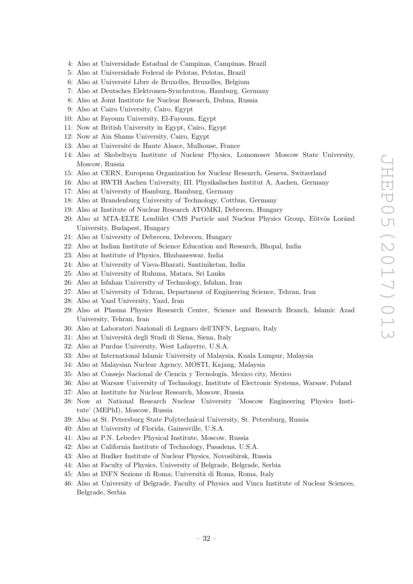- 4: Also at Universidade Estadual de Campinas, Campinas, Brazil
- 5: Also at Universidade Federal de Pelotas, Pelotas, Brazil
- 6: Also at Université Libre de Bruxelles, Bruxelles, Belgium
- 7: Also at Deutsches Elektronen-Synchrotron, Hamburg, Germany
- 8: Also at Joint Institute for Nuclear Research, Dubna, Russia
- 9: Also at Cairo University, Cairo, Egypt
- 10: Also at Fayoum University, El-Fayoum, Egypt
- 11: Now at British University in Egypt, Cairo, Egypt
- 12: Now at Ain Shams University, Cairo, Egypt
- 13: Also at Université de Haute Alsace, Mulhouse, France
- 14: Also at Skobeltsyn Institute of Nuclear Physics, Lomonosov Moscow State University, Moscow, Russia
- 15: Also at CERN, European Organization for Nuclear Research, Geneva, Switzerland
- 16: Also at RWTH Aachen University, III. Physikalisches Institut A, Aachen, Germany
- 17: Also at University of Hamburg, Hamburg, Germany
- 18: Also at Brandenburg University of Technology, Cottbus, Germany
- 19: Also at Institute of Nuclear Research ATOMKI, Debrecen, Hungary
- 20: Also at MTA-ELTE Lendület CMS Particle and Nuclear Physics Group, Eötvös Loránd University, Budapest, Hungary
- 21: Also at University of Debrecen, Debrecen, Hungary
- 22: Also at Indian Institute of Science Education and Research, Bhopal, India
- 23: Also at Institute of Physics, Bhubaneswar, India
- 24: Also at University of Visva-Bharati, Santiniketan, India
- 25: Also at University of Ruhuna, Matara, Sri Lanka
- 26: Also at Isfahan University of Technology, Isfahan, Iran
- 27: Also at University of Tehran, Department of Engineering Science, Tehran, Iran
- 28: Also at Yazd University, Yazd, Iran
- 29: Also at Plasma Physics Research Center, Science and Research Branch, Islamic Azad University, Tehran, Iran
- 30: Also at Laboratori Nazionali di Legnaro dell'INFN, Legnaro, Italy
- 31: Also at Università degli Studi di Siena, Siena, Italy
- 32: Also at Purdue University, West Lafayette, U.S.A.
- 33: Also at International Islamic University of Malaysia, Kuala Lumpur, Malaysia
- 34: Also at Malaysian Nuclear Agency, MOSTI, Kajang, Malaysia
- 35: Also at Consejo Nacional de Ciencia y Tecnología, Mexico city, Mexico
- 36: Also at Warsaw University of Technology, Institute of Electronic Systems, Warsaw, Poland
- 37: Also at Institute for Nuclear Research, Moscow, Russia
- 38: Now at National Research Nuclear University 'Moscow Engineering Physics Institute' (MEPhI), Moscow, Russia
- 39: Also at St. Petersburg State Polytechnical University, St. Petersburg, Russia
- 40: Also at University of Florida, Gainesville, U.S.A.
- 41: Also at P.N. Lebedev Physical Institute, Moscow, Russia
- 42: Also at California Institute of Technology, Pasadena, U.S.A.
- 43: Also at Budker Institute of Nuclear Physics, Novosibirsk, Russia
- 44: Also at Faculty of Physics, University of Belgrade, Belgrade, Serbia
- 45: Also at INFN Sezione di Roma; Università di Roma, Roma, Italy
- 46: Also at University of Belgrade, Faculty of Physics and Vinca Institute of Nuclear Sciences, Belgrade, Serbia